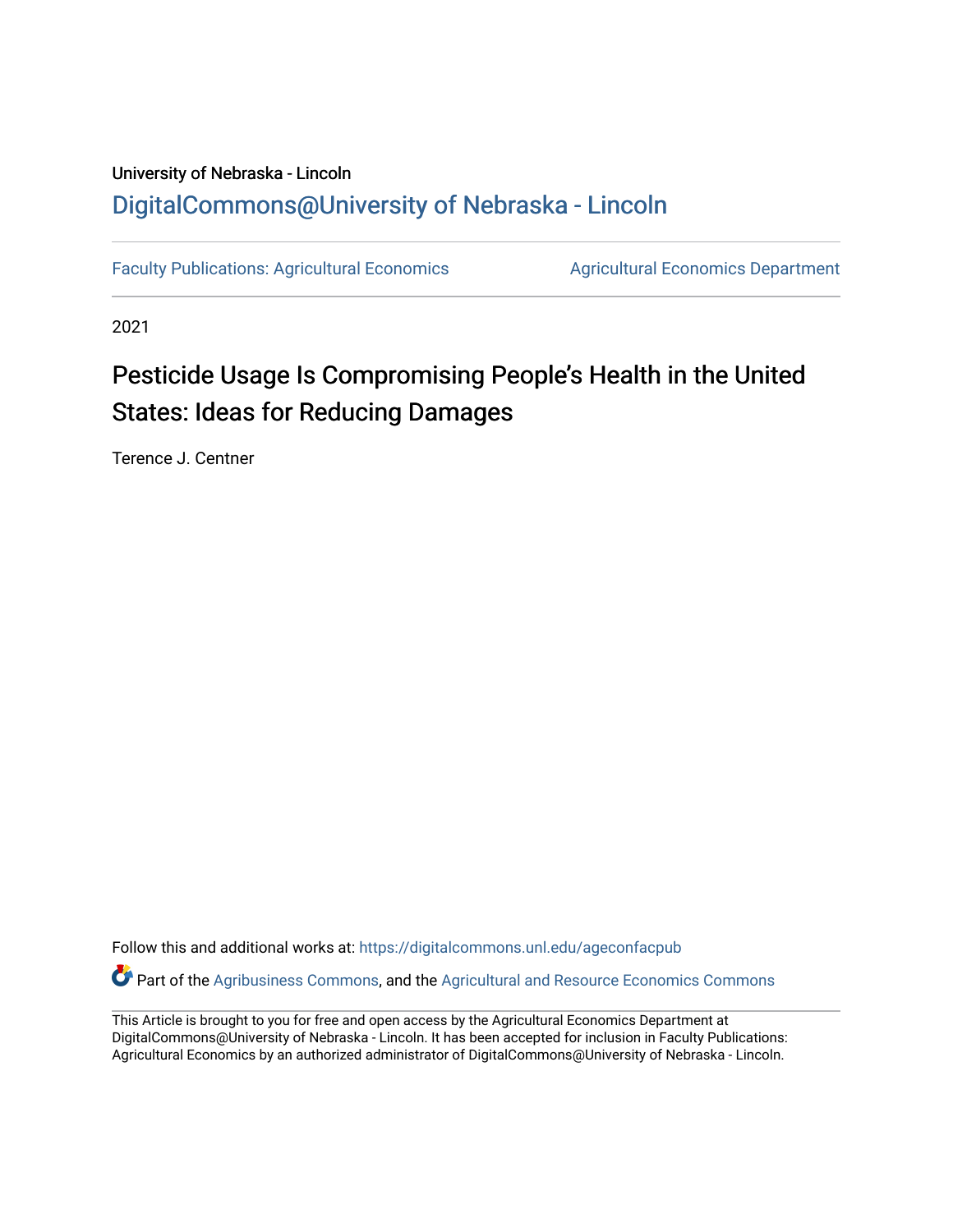# University of Nebraska - Lincoln [DigitalCommons@University of Nebraska - Lincoln](https://digitalcommons.unl.edu/)

[Faculty Publications: Agricultural Economics](https://digitalcommons.unl.edu/ageconfacpub) [Agricultural Economics Department](https://digitalcommons.unl.edu/ag_econ) 

2021

# Pesticide Usage Is Compromising People's Health in the United States: Ideas for Reducing Damages

Terence J. Centner

Follow this and additional works at: [https://digitalcommons.unl.edu/ageconfacpub](https://digitalcommons.unl.edu/ageconfacpub?utm_source=digitalcommons.unl.edu%2Fageconfacpub%2F226&utm_medium=PDF&utm_campaign=PDFCoverPages)

Part of the [Agribusiness Commons,](http://network.bepress.com/hgg/discipline/1051?utm_source=digitalcommons.unl.edu%2Fageconfacpub%2F226&utm_medium=PDF&utm_campaign=PDFCoverPages) and the [Agricultural and Resource Economics Commons](http://network.bepress.com/hgg/discipline/317?utm_source=digitalcommons.unl.edu%2Fageconfacpub%2F226&utm_medium=PDF&utm_campaign=PDFCoverPages)

This Article is brought to you for free and open access by the Agricultural Economics Department at DigitalCommons@University of Nebraska - Lincoln. It has been accepted for inclusion in Faculty Publications: Agricultural Economics by an authorized administrator of DigitalCommons@University of Nebraska - Lincoln.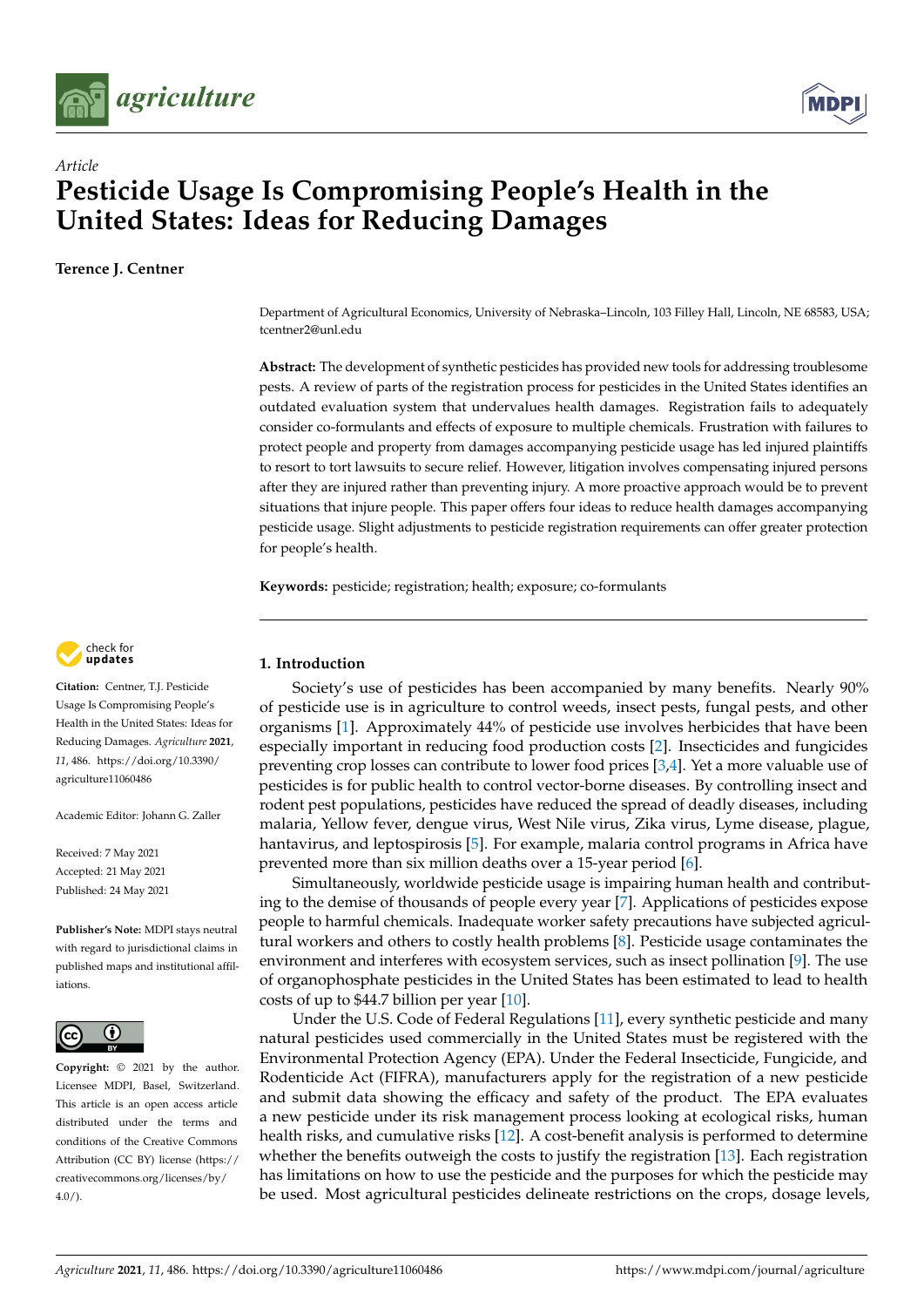



# *Article* **Pesticide Usage Is Compromising People's Health in the United States: Ideas for Reducing Damages**

**Terence J. Centner**

Department of Agricultural Economics, University of Nebraska–Lincoln, 103 Filley Hall, Lincoln, NE 68583, USA; tcentner2@unl.edu

**Abstract:** The development of synthetic pesticides has provided new tools for addressing troublesome pests. A review of parts of the registration process for pesticides in the United States identifies an outdated evaluation system that undervalues health damages. Registration fails to adequately consider co-formulants and effects of exposure to multiple chemicals. Frustration with failures to protect people and property from damages accompanying pesticide usage has led injured plaintiffs to resort to tort lawsuits to secure relief. However, litigation involves compensating injured persons after they are injured rather than preventing injury. A more proactive approach would be to prevent situations that injure people. This paper offers four ideas to reduce health damages accompanying pesticide usage. Slight adjustments to pesticide registration requirements can offer greater protection for people's health.

**Keywords:** pesticide; registration; health; exposure; co-formulants



**Citation:** Centner, T.J. Pesticide Usage Is Compromising People's Health in the United States: Ideas for Reducing Damages. *Agriculture* **2021**, *11*, 486. [https://doi.org/10.3390/](https://doi.org/10.3390/agriculture11060486) [agriculture11060486](https://doi.org/10.3390/agriculture11060486)

Academic Editor: Johann G. Zaller

Received: 7 May 2021 Accepted: 21 May 2021 Published: 24 May 2021

**Publisher's Note:** MDPI stays neutral with regard to jurisdictional claims in published maps and institutional affiliations.



**Copyright:** © 2021 by the author. Licensee MDPI, Basel, Switzerland. This article is an open access article distributed under the terms and conditions of the Creative Commons Attribution (CC BY) license (https:/[/](https://creativecommons.org/licenses/by/4.0/) [creativecommons.org/licenses/by/](https://creativecommons.org/licenses/by/4.0/)  $4.0/$ ).

# **1. Introduction**

Society's use of pesticides has been accompanied by many benefits. Nearly 90% of pesticide use is in agriculture to control weeds, insect pests, fungal pests, and other organisms [\[1\]](#page-9-0). Approximately 44% of pesticide use involves herbicides that have been especially important in reducing food production costs [\[2\]](#page-9-1). Insecticides and fungicides preventing crop losses can contribute to lower food prices [\[3](#page-9-2)[,4\]](#page-9-3). Yet a more valuable use of pesticides is for public health to control vector-borne diseases. By controlling insect and rodent pest populations, pesticides have reduced the spread of deadly diseases, including malaria, Yellow fever, dengue virus, West Nile virus, Zika virus, Lyme disease, plague, hantavirus, and leptospirosis [\[5\]](#page-9-4). For example, malaria control programs in Africa have prevented more than six million deaths over a 15-year period [\[6\]](#page-9-5).

Simultaneously, worldwide pesticide usage is impairing human health and contributing to the demise of thousands of people every year [\[7\]](#page-9-6). Applications of pesticides expose people to harmful chemicals. Inadequate worker safety precautions have subjected agricultural workers and others to costly health problems [\[8\]](#page-9-7). Pesticide usage contaminates the environment and interferes with ecosystem services, such as insect pollination [\[9\]](#page-9-8). The use of organophosphate pesticides in the United States has been estimated to lead to health costs of up to \$44.7 billion per year [\[10\]](#page-9-9).

Under the U.S. Code of Federal Regulations [\[11\]](#page-9-10), every synthetic pesticide and many natural pesticides used commercially in the United States must be registered with the Environmental Protection Agency (EPA). Under the Federal Insecticide, Fungicide, and Rodenticide Act (FIFRA), manufacturers apply for the registration of a new pesticide and submit data showing the efficacy and safety of the product. The EPA evaluates a new pesticide under its risk management process looking at ecological risks, human health risks, and cumulative risks [\[12\]](#page-9-11). A cost-benefit analysis is performed to determine whether the benefits outweigh the costs to justify the registration [\[13\]](#page-9-12). Each registration has limitations on how to use the pesticide and the purposes for which the pesticide may be used. Most agricultural pesticides delineate restrictions on the crops, dosage levels,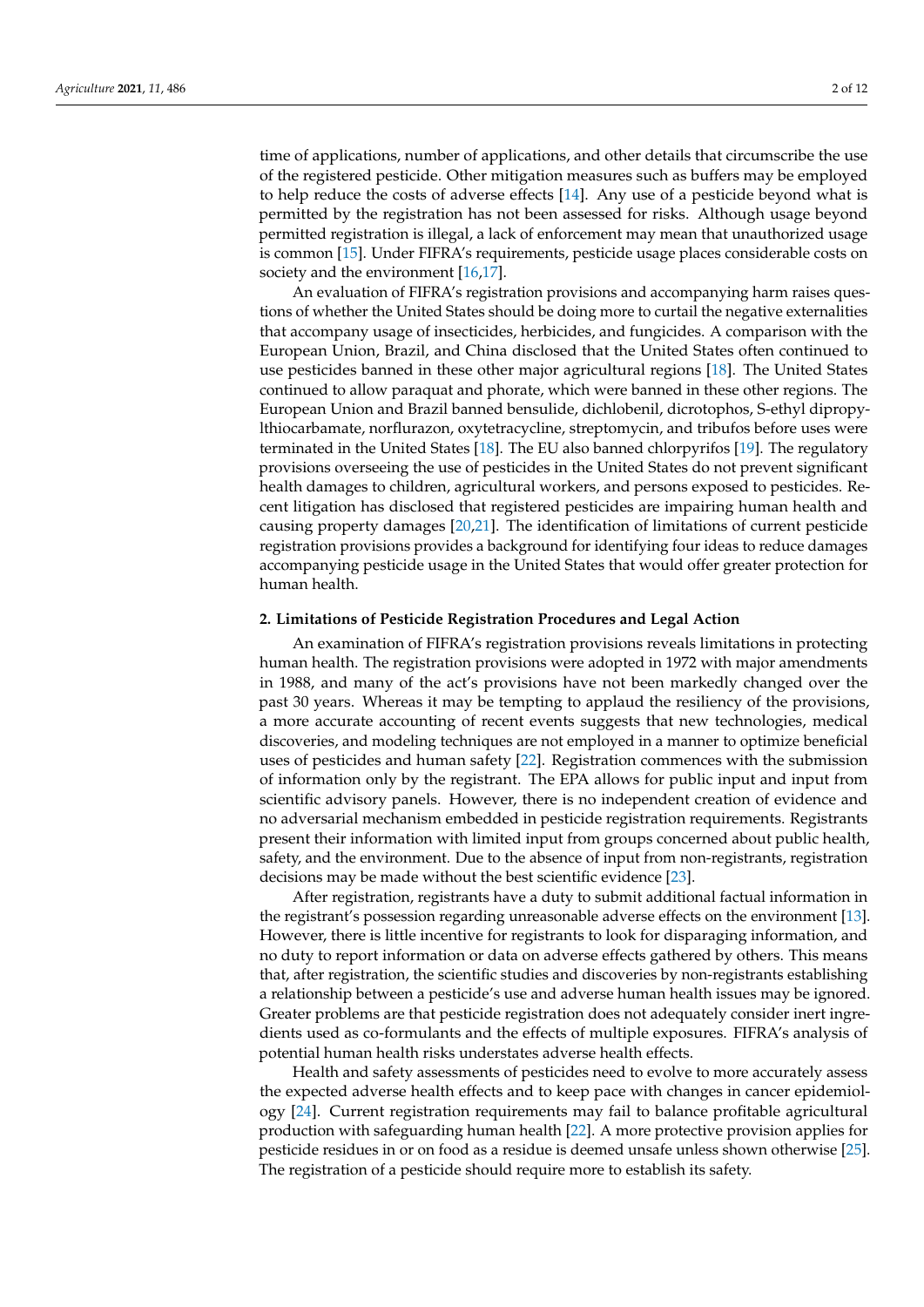time of applications, number of applications, and other details that circumscribe the use of the registered pesticide. Other mitigation measures such as buffers may be employed to help reduce the costs of adverse effects [\[14\]](#page-9-13). Any use of a pesticide beyond what is permitted by the registration has not been assessed for risks. Although usage beyond permitted registration is illegal, a lack of enforcement may mean that unauthorized usage is common [\[15\]](#page-9-14). Under FIFRA's requirements, pesticide usage places considerable costs on society and the environment [\[16](#page-10-0)[,17\]](#page-10-1).

An evaluation of FIFRA's registration provisions and accompanying harm raises questions of whether the United States should be doing more to curtail the negative externalities that accompany usage of insecticides, herbicides, and fungicides. A comparison with the European Union, Brazil, and China disclosed that the United States often continued to use pesticides banned in these other major agricultural regions [\[18\]](#page-10-2). The United States continued to allow paraquat and phorate, which were banned in these other regions. The European Union and Brazil banned bensulide, dichlobenil, dicrotophos, S-ethyl dipropylthiocarbamate, norflurazon, oxytetracycline, streptomycin, and tribufos before uses were terminated in the United States [\[18\]](#page-10-2). The EU also banned chlorpyrifos [\[19\]](#page-10-3). The regulatory provisions overseeing the use of pesticides in the United States do not prevent significant health damages to children, agricultural workers, and persons exposed to pesticides. Recent litigation has disclosed that registered pesticides are impairing human health and causing property damages [\[20,](#page-10-4)[21\]](#page-10-5). The identification of limitations of current pesticide registration provisions provides a background for identifying four ideas to reduce damages accompanying pesticide usage in the United States that would offer greater protection for human health.

# **2. Limitations of Pesticide Registration Procedures and Legal Action**

An examination of FIFRA's registration provisions reveals limitations in protecting human health. The registration provisions were adopted in 1972 with major amendments in 1988, and many of the act's provisions have not been markedly changed over the past 30 years. Whereas it may be tempting to applaud the resiliency of the provisions, a more accurate accounting of recent events suggests that new technologies, medical discoveries, and modeling techniques are not employed in a manner to optimize beneficial uses of pesticides and human safety [\[22\]](#page-10-6). Registration commences with the submission of information only by the registrant. The EPA allows for public input and input from scientific advisory panels. However, there is no independent creation of evidence and no adversarial mechanism embedded in pesticide registration requirements. Registrants present their information with limited input from groups concerned about public health, safety, and the environment. Due to the absence of input from non-registrants, registration decisions may be made without the best scientific evidence [\[23\]](#page-10-7).

After registration, registrants have a duty to submit additional factual information in the registrant's possession regarding unreasonable adverse effects on the environment [\[13\]](#page-9-12). However, there is little incentive for registrants to look for disparaging information, and no duty to report information or data on adverse effects gathered by others. This means that, after registration, the scientific studies and discoveries by non-registrants establishing a relationship between a pesticide's use and adverse human health issues may be ignored. Greater problems are that pesticide registration does not adequately consider inert ingredients used as co-formulants and the effects of multiple exposures. FIFRA's analysis of potential human health risks understates adverse health effects.

Health and safety assessments of pesticides need to evolve to more accurately assess the expected adverse health effects and to keep pace with changes in cancer epidemiology [\[24\]](#page-10-8). Current registration requirements may fail to balance profitable agricultural production with safeguarding human health [\[22\]](#page-10-6). A more protective provision applies for pesticide residues in or on food as a residue is deemed unsafe unless shown otherwise [\[25\]](#page-10-9). The registration of a pesticide should require more to establish its safety.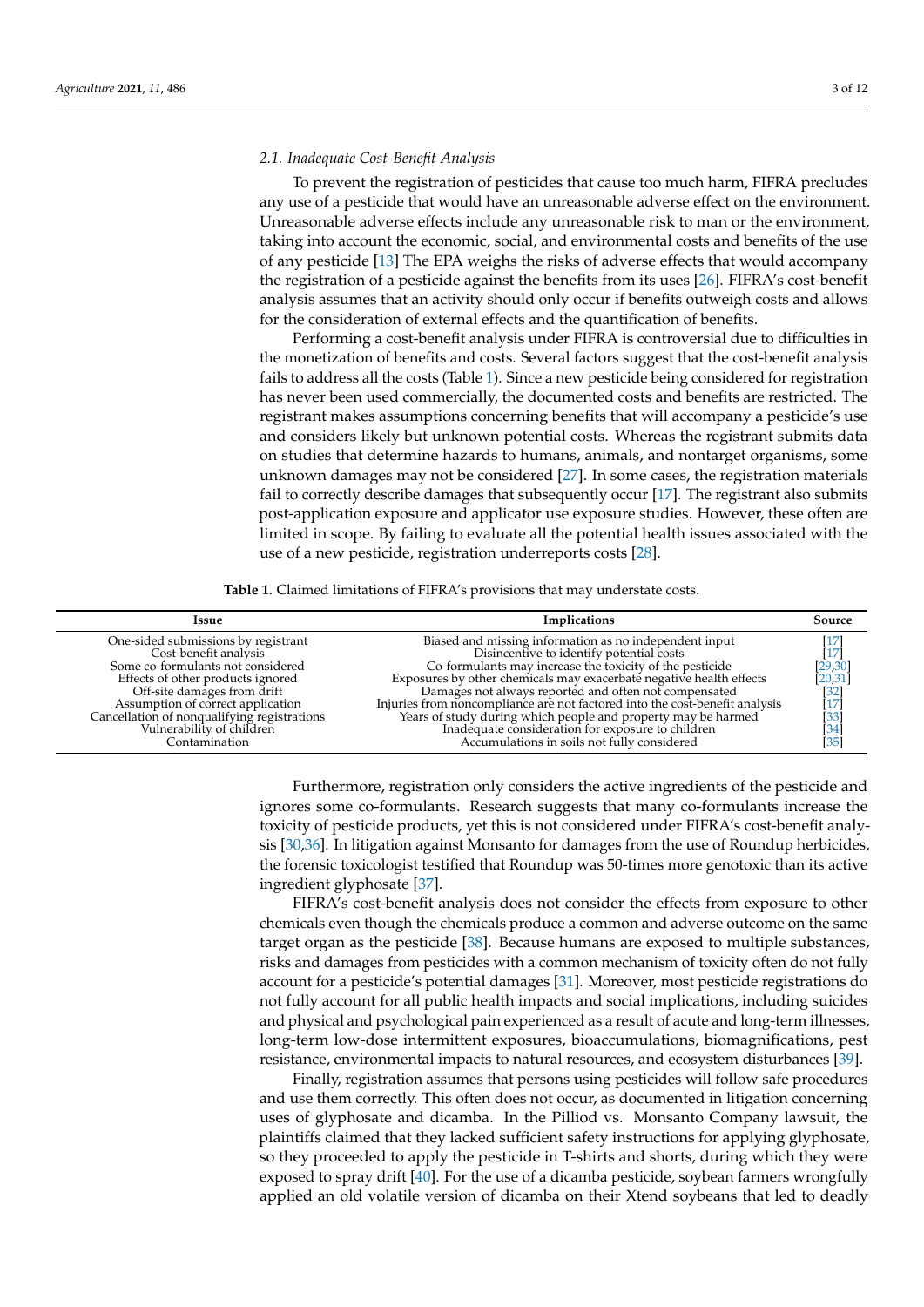#### *2.1. Inadequate Cost-Benefit Analysis*

To prevent the registration of pesticides that cause too much harm, FIFRA precludes any use of a pesticide that would have an unreasonable adverse effect on the environment. Unreasonable adverse effects include any unreasonable risk to man or the environment, taking into account the economic, social, and environmental costs and benefits of the use of any pesticide [\[13\]](#page-9-12) The EPA weighs the risks of adverse effects that would accompany the registration of a pesticide against the benefits from its uses [\[26\]](#page-10-10). FIFRA's cost-benefit analysis assumes that an activity should only occur if benefits outweigh costs and allows for the consideration of external effects and the quantification of benefits.

Performing a cost-benefit analysis under FIFRA is controversial due to difficulties in the monetization of benefits and costs. Several factors suggest that the cost-benefit analysis fails to address all the costs (Table [1\)](#page-3-0). Since a new pesticide being considered for registration has never been used commercially, the documented costs and benefits are restricted. The registrant makes assumptions concerning benefits that will accompany a pesticide's use and considers likely but unknown potential costs. Whereas the registrant submits data on studies that determine hazards to humans, animals, and nontarget organisms, some unknown damages may not be considered [\[27\]](#page-10-11). In some cases, the registration materials fail to correctly describe damages that subsequently occur [\[17\]](#page-10-1). The registrant also submits post-application exposure and applicator use exposure studies. However, these often are limited in scope. By failing to evaluate all the potential health issues associated with the use of a new pesticide, registration underreports costs [\[28\]](#page-10-12).

**Table 1.** Claimed limitations of FIFRA's provisions that may understate costs.

<span id="page-3-0"></span>

| Issue                                                                                                                                                                                                                                                                                  | Implications                                                                                                                                                                                                                                                                                                                                                                                                                                                                                        | Source                                                                                               |
|----------------------------------------------------------------------------------------------------------------------------------------------------------------------------------------------------------------------------------------------------------------------------------------|-----------------------------------------------------------------------------------------------------------------------------------------------------------------------------------------------------------------------------------------------------------------------------------------------------------------------------------------------------------------------------------------------------------------------------------------------------------------------------------------------------|------------------------------------------------------------------------------------------------------|
| One-sided submissions by registrant<br>Cost-benefit analysis<br>Some co-formulants not considered<br>Effects of other products ignored<br>Off-site damages from drift<br>Assumption of correct application<br>Cancellation of nonqualifying registrations<br>Vulnerability of children | Biased and missing information as no independent input<br>Disincentive to identify potential costs<br>Co-formulants may increase the toxicity of the pesticide<br>Exposures by other chemicals may exacerbate negative health effects<br>Damages not always reported and often not compensated<br>Injuries from noncompliance are not factored into the cost-benefit analysis<br>Years of study during which people and property may be harmed<br>Inadequate consideration for exposure to children | $[17] \label{eq:17}$<br>[29, 30]<br>[20, 31]<br>$\begin{bmatrix} 32 \\ 17 \\ 33 \\ 34 \end{bmatrix}$ |
| Contamination                                                                                                                                                                                                                                                                          | Accumulations in soils not fully considered                                                                                                                                                                                                                                                                                                                                                                                                                                                         | $[35]$                                                                                               |

Furthermore, registration only considers the active ingredients of the pesticide and ignores some co-formulants. Research suggests that many co-formulants increase the toxicity of pesticide products, yet this is not considered under FIFRA's cost-benefit analysis [\[30](#page-10-14)[,36\]](#page-10-20). In litigation against Monsanto for damages from the use of Roundup herbicides, the forensic toxicologist testified that Roundup was 50-times more genotoxic than its active ingredient glyphosate [\[37\]](#page-10-21).

FIFRA's cost-benefit analysis does not consider the effects from exposure to other chemicals even though the chemicals produce a common and adverse outcome on the same target organ as the pesticide [\[38\]](#page-10-22). Because humans are exposed to multiple substances, risks and damages from pesticides with a common mechanism of toxicity often do not fully account for a pesticide's potential damages [\[31\]](#page-10-15). Moreover, most pesticide registrations do not fully account for all public health impacts and social implications, including suicides and physical and psychological pain experienced as a result of acute and long-term illnesses, long-term low-dose intermittent exposures, bioaccumulations, biomagnifications, pest resistance, environmental impacts to natural resources, and ecosystem disturbances [\[39\]](#page-10-23).

Finally, registration assumes that persons using pesticides will follow safe procedures and use them correctly. This often does not occur, as documented in litigation concerning uses of glyphosate and dicamba. In the Pilliod vs. Monsanto Company lawsuit, the plaintiffs claimed that they lacked sufficient safety instructions for applying glyphosate, so they proceeded to apply the pesticide in T-shirts and shorts, during which they were exposed to spray drift [\[40\]](#page-10-24). For the use of a dicamba pesticide, soybean farmers wrongfully applied an old volatile version of dicamba on their Xtend soybeans that led to deadly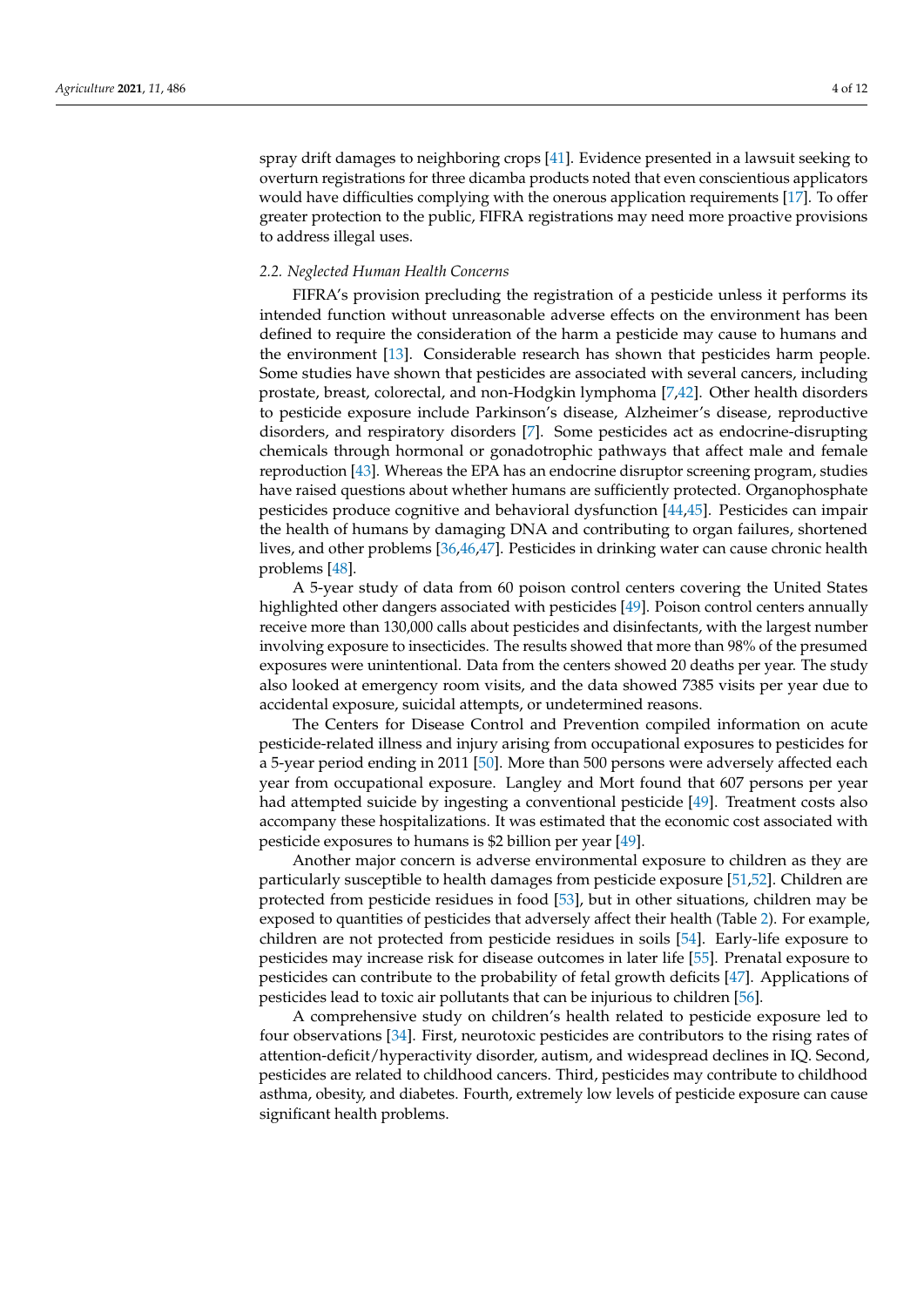spray drift damages to neighboring crops [\[41\]](#page-10-25). Evidence presented in a lawsuit seeking to overturn registrations for three dicamba products noted that even conscientious applicators would have difficulties complying with the onerous application requirements [\[17\]](#page-10-1). To offer greater protection to the public, FIFRA registrations may need more proactive provisions to address illegal uses.

### *2.2. Neglected Human Health Concerns*

FIFRA's provision precluding the registration of a pesticide unless it performs its intended function without unreasonable adverse effects on the environment has been defined to require the consideration of the harm a pesticide may cause to humans and the environment [\[13\]](#page-9-12). Considerable research has shown that pesticides harm people. Some studies have shown that pesticides are associated with several cancers, including prostate, breast, colorectal, and non-Hodgkin lymphoma [\[7,](#page-9-6)[42\]](#page-10-26). Other health disorders to pesticide exposure include Parkinson's disease, Alzheimer's disease, reproductive disorders, and respiratory disorders [\[7\]](#page-9-6). Some pesticides act as endocrine-disrupting chemicals through hormonal or gonadotrophic pathways that affect male and female reproduction [\[43\]](#page-11-0). Whereas the EPA has an endocrine disruptor screening program, studies have raised questions about whether humans are sufficiently protected. Organophosphate pesticides produce cognitive and behavioral dysfunction [\[44](#page-11-1)[,45\]](#page-11-2). Pesticides can impair the health of humans by damaging DNA and contributing to organ failures, shortened lives, and other problems [\[36,](#page-10-20)[46](#page-11-3)[,47\]](#page-11-4). Pesticides in drinking water can cause chronic health problems [\[48\]](#page-11-5).

A 5-year study of data from 60 poison control centers covering the United States highlighted other dangers associated with pesticides [\[49\]](#page-11-6). Poison control centers annually receive more than 130,000 calls about pesticides and disinfectants, with the largest number involving exposure to insecticides. The results showed that more than 98% of the presumed exposures were unintentional. Data from the centers showed 20 deaths per year. The study also looked at emergency room visits, and the data showed 7385 visits per year due to accidental exposure, suicidal attempts, or undetermined reasons.

The Centers for Disease Control and Prevention compiled information on acute pesticide-related illness and injury arising from occupational exposures to pesticides for a 5-year period ending in 2011 [\[50\]](#page-11-7). More than 500 persons were adversely affected each year from occupational exposure. Langley and Mort found that 607 persons per year had attempted suicide by ingesting a conventional pesticide [\[49\]](#page-11-6). Treatment costs also accompany these hospitalizations. It was estimated that the economic cost associated with pesticide exposures to humans is \$2 billion per year [\[49\]](#page-11-6).

Another major concern is adverse environmental exposure to children as they are particularly susceptible to health damages from pesticide exposure [\[51](#page-11-8)[,52\]](#page-11-9). Children are protected from pesticide residues in food [\[53\]](#page-11-10), but in other situations, children may be exposed to quantities of pesticides that adversely affect their health (Table [2\)](#page-5-0). For example, children are not protected from pesticide residues in soils [\[54\]](#page-11-11). Early-life exposure to pesticides may increase risk for disease outcomes in later life [\[55\]](#page-11-12). Prenatal exposure to pesticides can contribute to the probability of fetal growth deficits [\[47\]](#page-11-4). Applications of pesticides lead to toxic air pollutants that can be injurious to children [\[56\]](#page-11-13).

A comprehensive study on children's health related to pesticide exposure led to four observations [\[34\]](#page-10-18). First, neurotoxic pesticides are contributors to the rising rates of attention-deficit/hyperactivity disorder, autism, and widespread declines in IQ. Second, pesticides are related to childhood cancers. Third, pesticides may contribute to childhood asthma, obesity, and diabetes. Fourth, extremely low levels of pesticide exposure can cause significant health problems.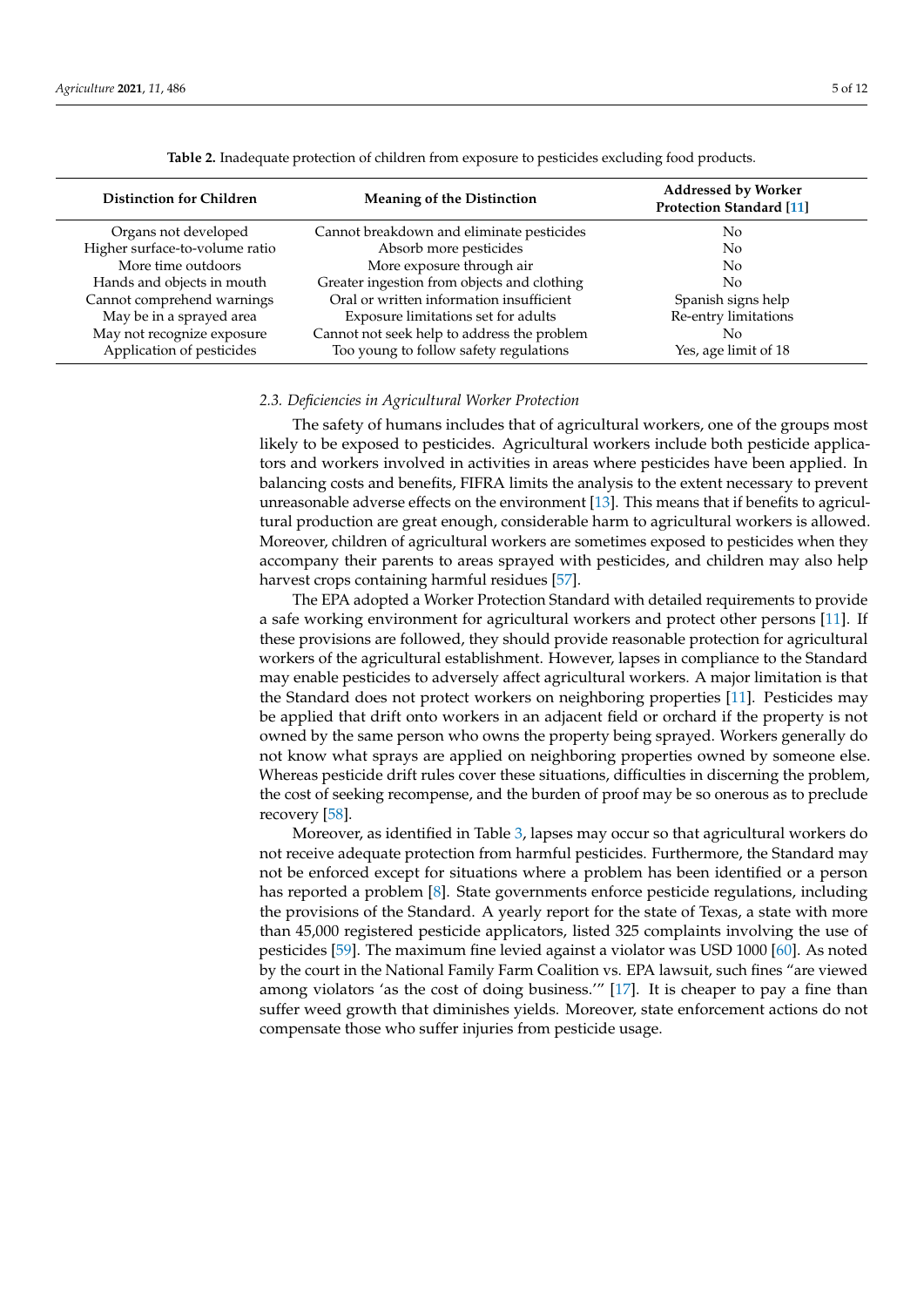<span id="page-5-0"></span>

| <b>Distinction for Children</b> | <b>Meaning of the Distinction</b>           | <b>Addressed by Worker</b><br><b>Protection Standard [11]</b> |  |
|---------------------------------|---------------------------------------------|---------------------------------------------------------------|--|
| Organs not developed            | Cannot breakdown and eliminate pesticides   | No.                                                           |  |
| Higher surface-to-volume ratio  | Absorb more pesticides                      | No.                                                           |  |
| More time outdoors              | More exposure through air                   | No.                                                           |  |
| Hands and objects in mouth      | Greater ingestion from objects and clothing | No.                                                           |  |
| Cannot comprehend warnings      | Oral or written information insufficient    | Spanish signs help                                            |  |
| May be in a sprayed area        | Exposure limitations set for adults         | Re-entry limitations                                          |  |
| May not recognize exposure      | Cannot not seek help to address the problem | Nο                                                            |  |
| Application of pesticides       | Too young to follow safety regulations      | Yes, age limit of 18                                          |  |

**Table 2.** Inadequate protection of children from exposure to pesticides excluding food products.

#### *2.3. Deficiencies in Agricultural Worker Protection*

The safety of humans includes that of agricultural workers, one of the groups most likely to be exposed to pesticides. Agricultural workers include both pesticide applicators and workers involved in activities in areas where pesticides have been applied. In balancing costs and benefits, FIFRA limits the analysis to the extent necessary to prevent unreasonable adverse effects on the environment [\[13\]](#page-9-12). This means that if benefits to agricultural production are great enough, considerable harm to agricultural workers is allowed. Moreover, children of agricultural workers are sometimes exposed to pesticides when they accompany their parents to areas sprayed with pesticides, and children may also help harvest crops containing harmful residues [\[57\]](#page-11-14).

The EPA adopted a Worker Protection Standard with detailed requirements to provide a safe working environment for agricultural workers and protect other persons [\[11\]](#page-9-10). If these provisions are followed, they should provide reasonable protection for agricultural workers of the agricultural establishment. However, lapses in compliance to the Standard may enable pesticides to adversely affect agricultural workers. A major limitation is that the Standard does not protect workers on neighboring properties [\[11\]](#page-9-10). Pesticides may be applied that drift onto workers in an adjacent field or orchard if the property is not owned by the same person who owns the property being sprayed. Workers generally do not know what sprays are applied on neighboring properties owned by someone else. Whereas pesticide drift rules cover these situations, difficulties in discerning the problem, the cost of seeking recompense, and the burden of proof may be so onerous as to preclude recovery [\[58\]](#page-11-15).

Moreover, as identified in Table [3,](#page-6-0) lapses may occur so that agricultural workers do not receive adequate protection from harmful pesticides. Furthermore, the Standard may not be enforced except for situations where a problem has been identified or a person has reported a problem [\[8\]](#page-9-7). State governments enforce pesticide regulations, including the provisions of the Standard. A yearly report for the state of Texas, a state with more than 45,000 registered pesticide applicators, listed 325 complaints involving the use of pesticides [\[59\]](#page-11-16). The maximum fine levied against a violator was USD 1000 [\[60\]](#page-11-17). As noted by the court in the National Family Farm Coalition vs. EPA lawsuit, such fines "are viewed among violators 'as the cost of doing business.'" [\[17\]](#page-10-1). It is cheaper to pay a fine than suffer weed growth that diminishes yields. Moreover, state enforcement actions do not compensate those who suffer injuries from pesticide usage.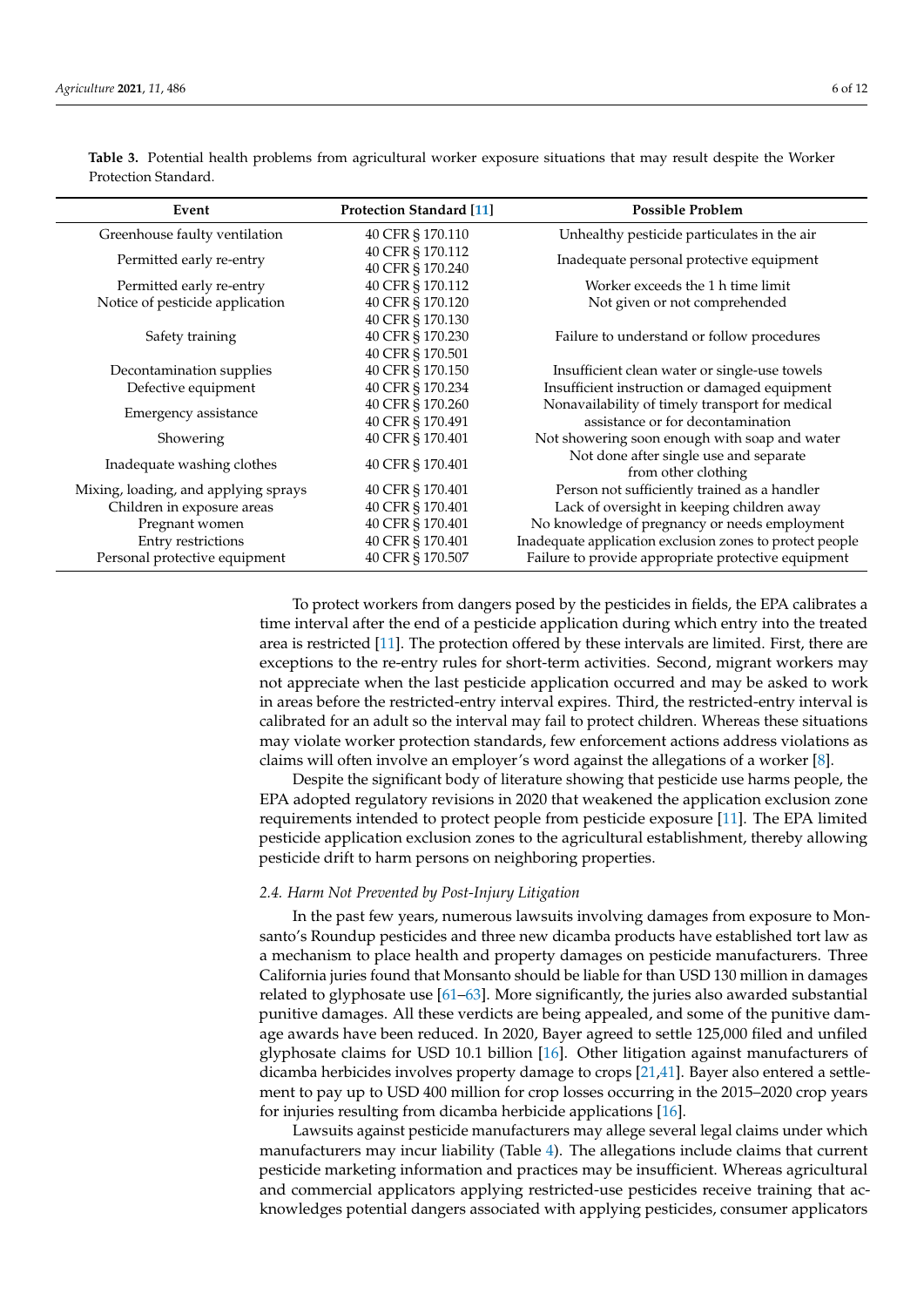| Event                                | <b>Protection Standard [11]</b>      | <b>Possible Problem</b>                                       |
|--------------------------------------|--------------------------------------|---------------------------------------------------------------|
| Greenhouse faulty ventilation        | 40 CFR § 170.110                     | Unhealthy pesticide particulates in the air                   |
| Permitted early re-entry             | 40 CFR § 170.112<br>40 CFR § 170.240 | Inadequate personal protective equipment                      |
| Permitted early re-entry             | 40 CFR § 170.112                     | Worker exceeds the 1 h time limit                             |
| Notice of pesticide application      | 40 CFR § 170.120                     | Not given or not comprehended                                 |
|                                      | 40 CFR § 170.130                     |                                                               |
| Safety training                      | 40 CFR § 170.230                     | Failure to understand or follow procedures                    |
|                                      | 40 CFR § 170.501                     |                                                               |
| Decontamination supplies             | 40 CFR § 170.150                     | Insufficient clean water or single-use towels                 |
| Defective equipment                  | 40 CFR § 170.234                     | Insufficient instruction or damaged equipment                 |
| Emergency assistance                 | 40 CFR § 170.260                     | Nonavailability of timely transport for medical               |
|                                      | 40 CFR § 170.491                     | assistance or for decontamination                             |
| Showering                            | 40 CFR § 170.401                     | Not showering soon enough with soap and water                 |
| Inadequate washing clothes           | 40 CFR § 170.401                     | Not done after single use and separate<br>from other clothing |
| Mixing, loading, and applying sprays | 40 CFR § 170.401                     | Person not sufficiently trained as a handler                  |
| Children in exposure areas           | 40 CFR § 170.401                     | Lack of oversight in keeping children away                    |
| Pregnant women                       | 40 CFR § 170.401                     | No knowledge of pregnancy or needs employment                 |
| Entry restrictions                   | 40 CFR § 170.401                     | Inadequate application exclusion zones to protect people      |
| Personal protective equipment        | 40 CFR § 170.507                     | Failure to provide appropriate protective equipment           |

<span id="page-6-0"></span>**Table 3.** Potential health problems from agricultural worker exposure situations that may result despite the Worker Protection Standard.

> To protect workers from dangers posed by the pesticides in fields, the EPA calibrates a time interval after the end of a pesticide application during which entry into the treated area is restricted [\[11\]](#page-9-10). The protection offered by these intervals are limited. First, there are exceptions to the re-entry rules for short-term activities. Second, migrant workers may not appreciate when the last pesticide application occurred and may be asked to work in areas before the restricted-entry interval expires. Third, the restricted-entry interval is calibrated for an adult so the interval may fail to protect children. Whereas these situations may violate worker protection standards, few enforcement actions address violations as claims will often involve an employer's word against the allegations of a worker [\[8\]](#page-9-7).

> Despite the significant body of literature showing that pesticide use harms people, the EPA adopted regulatory revisions in 2020 that weakened the application exclusion zone requirements intended to protect people from pesticide exposure [\[11\]](#page-9-10). The EPA limited pesticide application exclusion zones to the agricultural establishment, thereby allowing pesticide drift to harm persons on neighboring properties.

# *2.4. Harm Not Prevented by Post-Injury Litigation*

In the past few years, numerous lawsuits involving damages from exposure to Monsanto's Roundup pesticides and three new dicamba products have established tort law as a mechanism to place health and property damages on pesticide manufacturers. Three California juries found that Monsanto should be liable for than USD 130 million in damages related to glyphosate use [\[61–](#page-11-18)[63\]](#page-11-19). More significantly, the juries also awarded substantial punitive damages. All these verdicts are being appealed, and some of the punitive damage awards have been reduced. In 2020, Bayer agreed to settle 125,000 filed and unfiled glyphosate claims for USD 10.1 billion [\[16\]](#page-10-0). Other litigation against manufacturers of dicamba herbicides involves property damage to crops [\[21](#page-10-5)[,41\]](#page-10-25). Bayer also entered a settlement to pay up to USD 400 million for crop losses occurring in the 2015–2020 crop years for injuries resulting from dicamba herbicide applications [\[16\]](#page-10-0).

Lawsuits against pesticide manufacturers may allege several legal claims under which manufacturers may incur liability (Table [4\)](#page-7-0). The allegations include claims that current pesticide marketing information and practices may be insufficient. Whereas agricultural and commercial applicators applying restricted-use pesticides receive training that acknowledges potential dangers associated with applying pesticides, consumer applicators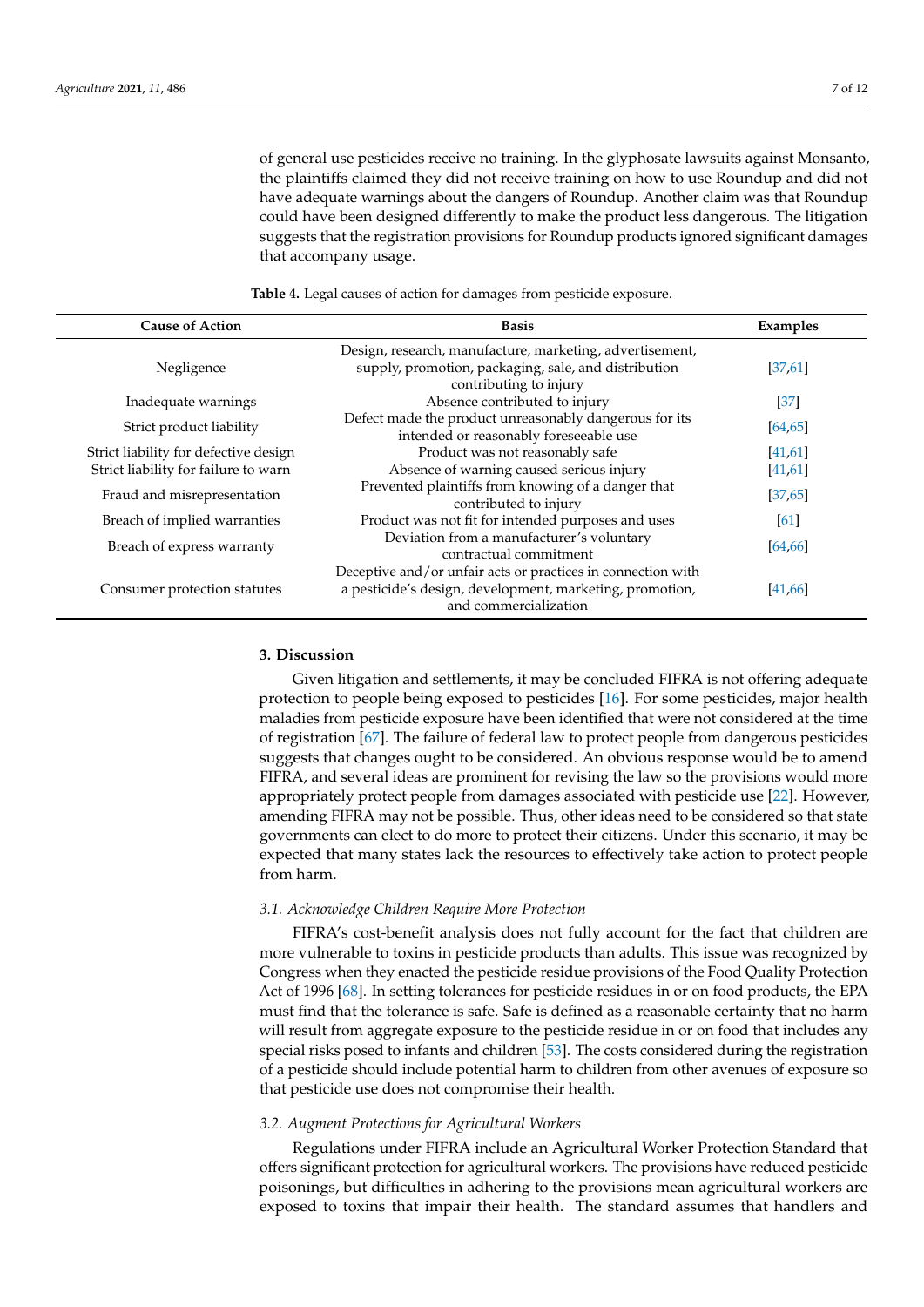of general use pesticides receive no training. In the glyphosate lawsuits against Monsanto, the plaintiffs claimed they did not receive training on how to use Roundup and did not have adequate warnings about the dangers of Roundup. Another claim was that Roundup could have been designed differently to make the product less dangerous. The litigation suggests that the registration provisions for Roundup products ignored significant damages that accompany usage.

**Table 4.** Legal causes of action for damages from pesticide exposure.

<span id="page-7-0"></span>

| <b>Cause of Action</b>                | <b>Basis</b>                                                                                                                                      | Examples |
|---------------------------------------|---------------------------------------------------------------------------------------------------------------------------------------------------|----------|
|                                       |                                                                                                                                                   |          |
| Negligence                            | supply, promotion, packaging, sale, and distribution<br>contributing to injury                                                                    | [37,61]  |
| Inadequate warnings                   | Absence contributed to injury                                                                                                                     | $[37]$   |
| Strict product liability              | Defect made the product unreasonably dangerous for its<br>intended or reasonably foreseeable use                                                  | [64, 65] |
| Strict liability for defective design | Product was not reasonably safe                                                                                                                   | [41,61]  |
| Strict liability for failure to warn  | Absence of warning caused serious injury                                                                                                          | [41, 61] |
| Fraud and misrepresentation           | Prevented plaintiffs from knowing of a danger that<br>contributed to injury                                                                       | [37, 65] |
| Breach of implied warranties          | Product was not fit for intended purposes and uses                                                                                                | 61       |
| Breach of express warranty            | Deviation from a manufacturer's voluntary<br>contractual commitment                                                                               | [64, 66] |
| Consumer protection statutes          | Deceptive and/or unfair acts or practices in connection with<br>a pesticide's design, development, marketing, promotion,<br>and commercialization | [41,66]  |

#### **3. Discussion**

Given litigation and settlements, it may be concluded FIFRA is not offering adequate protection to people being exposed to pesticides [\[16\]](#page-10-0). For some pesticides, major health maladies from pesticide exposure have been identified that were not considered at the time of registration [\[67\]](#page-11-23). The failure of federal law to protect people from dangerous pesticides suggests that changes ought to be considered. An obvious response would be to amend FIFRA, and several ideas are prominent for revising the law so the provisions would more appropriately protect people from damages associated with pesticide use [\[22\]](#page-10-6). However, amending FIFRA may not be possible. Thus, other ideas need to be considered so that state governments can elect to do more to protect their citizens. Under this scenario, it may be expected that many states lack the resources to effectively take action to protect people from harm.

#### *3.1. Acknowledge Children Require More Protection*

FIFRA's cost-benefit analysis does not fully account for the fact that children are more vulnerable to toxins in pesticide products than adults. This issue was recognized by Congress when they enacted the pesticide residue provisions of the Food Quality Protection Act of 1996 [\[68\]](#page-11-24). In setting tolerances for pesticide residues in or on food products, the EPA must find that the tolerance is safe. Safe is defined as a reasonable certainty that no harm will result from aggregate exposure to the pesticide residue in or on food that includes any special risks posed to infants and children [\[53\]](#page-11-10). The costs considered during the registration of a pesticide should include potential harm to children from other avenues of exposure so that pesticide use does not compromise their health.

#### *3.2. Augment Protections for Agricultural Workers*

Regulations under FIFRA include an Agricultural Worker Protection Standard that offers significant protection for agricultural workers. The provisions have reduced pesticide poisonings, but difficulties in adhering to the provisions mean agricultural workers are exposed to toxins that impair their health. The standard assumes that handlers and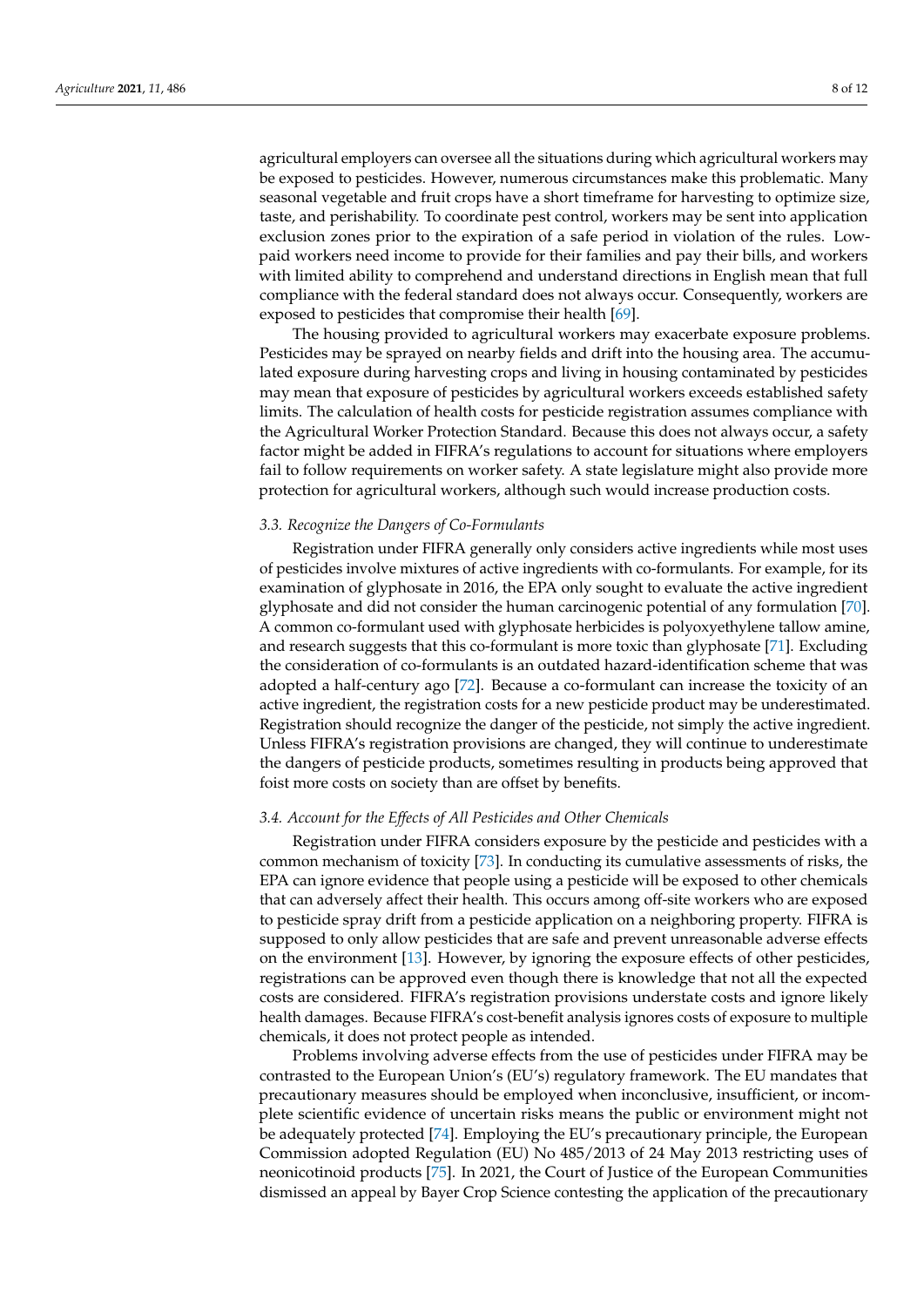agricultural employers can oversee all the situations during which agricultural workers may be exposed to pesticides. However, numerous circumstances make this problematic. Many seasonal vegetable and fruit crops have a short timeframe for harvesting to optimize size, taste, and perishability. To coordinate pest control, workers may be sent into application exclusion zones prior to the expiration of a safe period in violation of the rules. Lowpaid workers need income to provide for their families and pay their bills, and workers with limited ability to comprehend and understand directions in English mean that full compliance with the federal standard does not always occur. Consequently, workers are exposed to pesticides that compromise their health [\[69\]](#page-11-25).

The housing provided to agricultural workers may exacerbate exposure problems. Pesticides may be sprayed on nearby fields and drift into the housing area. The accumulated exposure during harvesting crops and living in housing contaminated by pesticides may mean that exposure of pesticides by agricultural workers exceeds established safety limits. The calculation of health costs for pesticide registration assumes compliance with the Agricultural Worker Protection Standard. Because this does not always occur, a safety factor might be added in FIFRA's regulations to account for situations where employers fail to follow requirements on worker safety. A state legislature might also provide more protection for agricultural workers, although such would increase production costs.

#### *3.3. Recognize the Dangers of Co-Formulants*

Registration under FIFRA generally only considers active ingredients while most uses of pesticides involve mixtures of active ingredients with co-formulants. For example, for its examination of glyphosate in 2016, the EPA only sought to evaluate the active ingredient glyphosate and did not consider the human carcinogenic potential of any formulation [\[70\]](#page-11-26). A common co-formulant used with glyphosate herbicides is polyoxyethylene tallow amine, and research suggests that this co-formulant is more toxic than glyphosate [\[71\]](#page-11-27). Excluding the consideration of co-formulants is an outdated hazard-identification scheme that was adopted a half-century ago [\[72\]](#page-12-0). Because a co-formulant can increase the toxicity of an active ingredient, the registration costs for a new pesticide product may be underestimated. Registration should recognize the danger of the pesticide, not simply the active ingredient. Unless FIFRA's registration provisions are changed, they will continue to underestimate the dangers of pesticide products, sometimes resulting in products being approved that foist more costs on society than are offset by benefits.

#### *3.4. Account for the Effects of All Pesticides and Other Chemicals*

Registration under FIFRA considers exposure by the pesticide and pesticides with a common mechanism of toxicity [\[73\]](#page-12-1). In conducting its cumulative assessments of risks, the EPA can ignore evidence that people using a pesticide will be exposed to other chemicals that can adversely affect their health. This occurs among off-site workers who are exposed to pesticide spray drift from a pesticide application on a neighboring property. FIFRA is supposed to only allow pesticides that are safe and prevent unreasonable adverse effects on the environment [\[13\]](#page-9-12). However, by ignoring the exposure effects of other pesticides, registrations can be approved even though there is knowledge that not all the expected costs are considered. FIFRA's registration provisions understate costs and ignore likely health damages. Because FIFRA's cost-benefit analysis ignores costs of exposure to multiple chemicals, it does not protect people as intended.

Problems involving adverse effects from the use of pesticides under FIFRA may be contrasted to the European Union's (EU's) regulatory framework. The EU mandates that precautionary measures should be employed when inconclusive, insufficient, or incomplete scientific evidence of uncertain risks means the public or environment might not be adequately protected [\[74\]](#page-12-2). Employing the EU's precautionary principle, the European Commission adopted Regulation (EU) No 485/2013 of 24 May 2013 restricting uses of neonicotinoid products [\[75\]](#page-12-3). In 2021, the Court of Justice of the European Communities dismissed an appeal by Bayer Crop Science contesting the application of the precautionary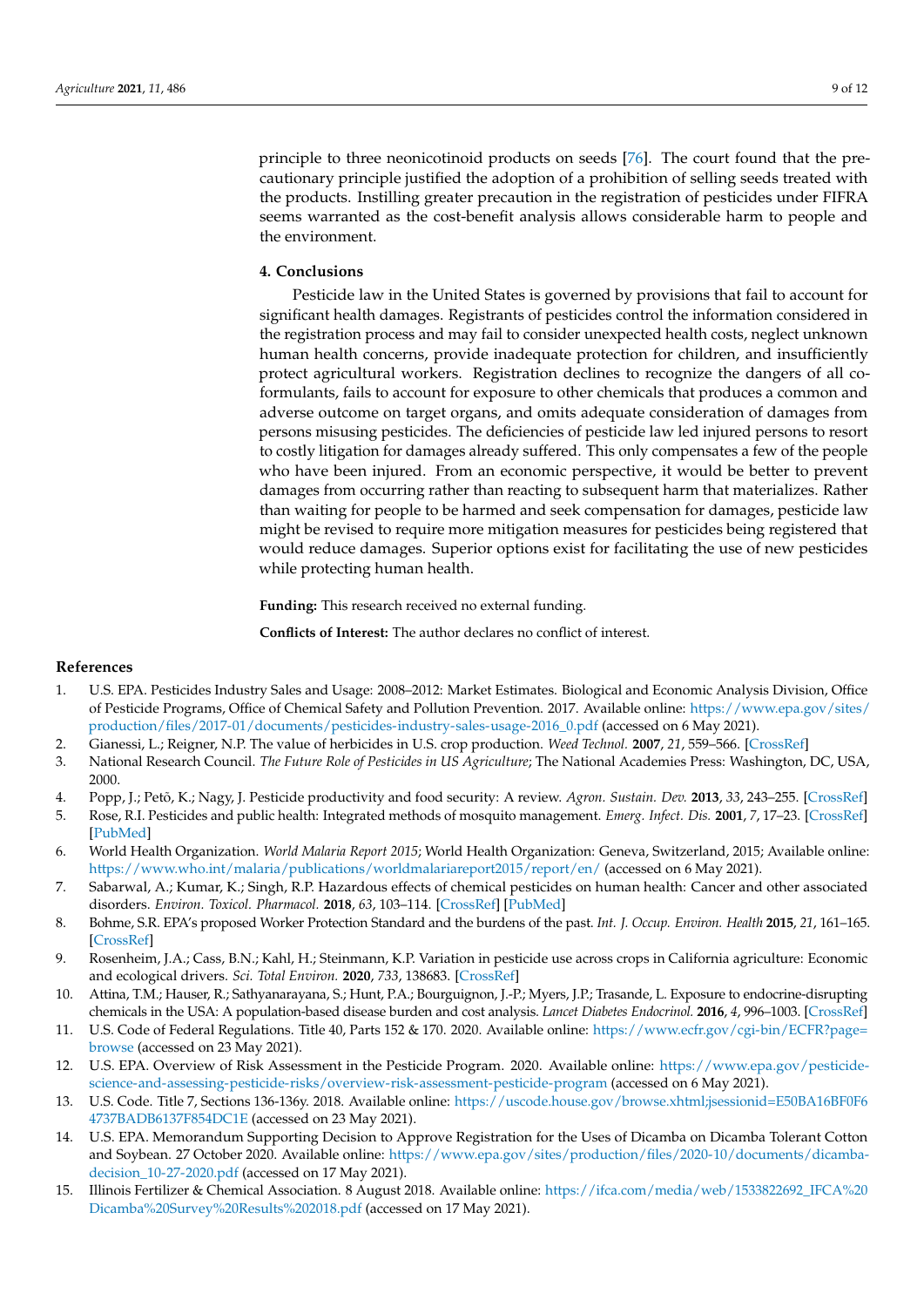principle to three neonicotinoid products on seeds [\[76\]](#page-12-4). The court found that the precautionary principle justified the adoption of a prohibition of selling seeds treated with the products. Instilling greater precaution in the registration of pesticides under FIFRA seems warranted as the cost-benefit analysis allows considerable harm to people and the environment.

### **4. Conclusions**

Pesticide law in the United States is governed by provisions that fail to account for significant health damages. Registrants of pesticides control the information considered in the registration process and may fail to consider unexpected health costs, neglect unknown human health concerns, provide inadequate protection for children, and insufficiently protect agricultural workers. Registration declines to recognize the dangers of all coformulants, fails to account for exposure to other chemicals that produces a common and adverse outcome on target organs, and omits adequate consideration of damages from persons misusing pesticides. The deficiencies of pesticide law led injured persons to resort to costly litigation for damages already suffered. This only compensates a few of the people who have been injured. From an economic perspective, it would be better to prevent damages from occurring rather than reacting to subsequent harm that materializes. Rather than waiting for people to be harmed and seek compensation for damages, pesticide law might be revised to require more mitigation measures for pesticides being registered that would reduce damages. Superior options exist for facilitating the use of new pesticides while protecting human health.

**Funding:** This research received no external funding.

**Conflicts of Interest:** The author declares no conflict of interest.

# **References**

- <span id="page-9-0"></span>1. U.S. EPA. Pesticides Industry Sales and Usage: 2008–2012: Market Estimates. Biological and Economic Analysis Division, Office of Pesticide Programs, Office of Chemical Safety and Pollution Prevention. 2017. Available online: [https://www.epa.gov/sites/](https://www.epa.gov/sites/production/files/2017-01/documents/pesticides-industry-sales-usage-2016_0.pdf) [production/files/2017-01/documents/pesticides-industry-sales-usage-2016\\_0.pdf](https://www.epa.gov/sites/production/files/2017-01/documents/pesticides-industry-sales-usage-2016_0.pdf) (accessed on 6 May 2021).
- <span id="page-9-1"></span>2. Gianessi, L.; Reigner, N.P. The value of herbicides in U.S. crop production. *Weed Technol.* **2007**, *21*, 559–566. [\[CrossRef\]](http://doi.org/10.1614/WT-06-130.1)
- <span id="page-9-2"></span>3. National Research Council. *The Future Role of Pesticides in US Agriculture*; The National Academies Press: Washington, DC, USA, 2000.
- <span id="page-9-3"></span>4. Popp, J.; Petõ, K.; Nagy, J. Pesticide productivity and food security: A review. *Agron. Sustain. Dev.* **2013**, *33*, 243–255. [\[CrossRef\]](http://doi.org/10.1007/s13593-012-0105-x)
- <span id="page-9-4"></span>5. Rose, R.I. Pesticides and public health: Integrated methods of mosquito management. *Emerg. Infect. Dis.* **2001**, *7*, 17–23. [\[CrossRef\]](http://doi.org/10.3201/eid0701.010103) [\[PubMed\]](http://www.ncbi.nlm.nih.gov/pubmed/11266290)
- <span id="page-9-5"></span>6. World Health Organization. *World Malaria Report 2015*; World Health Organization: Geneva, Switzerland, 2015; Available online: <https://www.who.int/malaria/publications/worldmalariareport2015/report/en/> (accessed on 6 May 2021).
- <span id="page-9-6"></span>7. Sabarwal, A.; Kumar, K.; Singh, R.P. Hazardous effects of chemical pesticides on human health: Cancer and other associated disorders. *Environ. Toxicol. Pharmacol.* **2018**, *63*, 103–114. [\[CrossRef\]](http://doi.org/10.1016/j.etap.2018.08.018) [\[PubMed\]](http://www.ncbi.nlm.nih.gov/pubmed/30199797)
- <span id="page-9-7"></span>8. Bohme, S.R. EPA's proposed Worker Protection Standard and the burdens of the past. *Int. J. Occup. Environ. Health* **2015**, *21*, 161–165. [\[CrossRef\]](http://doi.org/10.1179/2049396714Y.0000000099)
- <span id="page-9-8"></span>9. Rosenheim, J.A.; Cass, B.N.; Kahl, H.; Steinmann, K.P. Variation in pesticide use across crops in California agriculture: Economic and ecological drivers. *Sci. Total Environ.* **2020**, *733*, 138683. [\[CrossRef\]](http://doi.org/10.1016/j.scitotenv.2020.138683)
- <span id="page-9-9"></span>10. Attina, T.M.; Hauser, R.; Sathyanarayana, S.; Hunt, P.A.; Bourguignon, J.-P.; Myers, J.P.; Trasande, L. Exposure to endocrine-disrupting chemicals in the USA: A population-based disease burden and cost analysis. *Lancet Diabetes Endocrinol.* **2016**, *4*, 996–1003. [\[CrossRef\]](http://doi.org/10.1016/S2213-8587(16)30275-3)
- <span id="page-9-10"></span>11. U.S. Code of Federal Regulations. Title 40, Parts 152 & 170. 2020. Available online: [https://www.ecfr.gov/cgi-bin/ECFR?page=](https://www.ecfr.gov/cgi-bin/ECFR?page=browse) [browse](https://www.ecfr.gov/cgi-bin/ECFR?page=browse) (accessed on 23 May 2021).
- <span id="page-9-11"></span>12. U.S. EPA. Overview of Risk Assessment in the Pesticide Program. 2020. Available online: [https://www.epa.gov/pesticide](https://www.epa.gov/pesticide-science-and-assessing-pesticide-risks/overview-risk-assessment-pesticide-program)[science-and-assessing-pesticide-risks/overview-risk-assessment-pesticide-program](https://www.epa.gov/pesticide-science-and-assessing-pesticide-risks/overview-risk-assessment-pesticide-program) (accessed on 6 May 2021).
- <span id="page-9-12"></span>13. U.S. Code. Title 7, Sections 136-136y. 2018. Available online: [https://uscode.house.gov/browse.xhtml;jsessionid=E50BA16BF0F6](https://uscode.house.gov/browse.xhtml;jsessionid=E50BA16BF0F64737BADB6137F854DC1E) [4737BADB6137F854DC1E](https://uscode.house.gov/browse.xhtml;jsessionid=E50BA16BF0F64737BADB6137F854DC1E) (accessed on 23 May 2021).
- <span id="page-9-13"></span>14. U.S. EPA. Memorandum Supporting Decision to Approve Registration for the Uses of Dicamba on Dicamba Tolerant Cotton and Soybean. 27 October 2020. Available online: [https://www.epa.gov/sites/production/files/2020-10/documents/dicamba](https://www.epa.gov/sites/production/files/2020-10/documents/dicamba-decision_10-27-2020.pdf)[decision\\_10-27-2020.pdf](https://www.epa.gov/sites/production/files/2020-10/documents/dicamba-decision_10-27-2020.pdf) (accessed on 17 May 2021).
- <span id="page-9-14"></span>15. Illinois Fertilizer & Chemical Association. 8 August 2018. Available online: [https://ifca.com/media/web/1533822692\\_IFCA%20](https://ifca.com/media/web/1533822692_IFCA%20Dicamba%20Survey%20Results%202018.pdf) [Dicamba%20Survey%20Results%202018.pdf](https://ifca.com/media/web/1533822692_IFCA%20Dicamba%20Survey%20Results%202018.pdf) (accessed on 17 May 2021).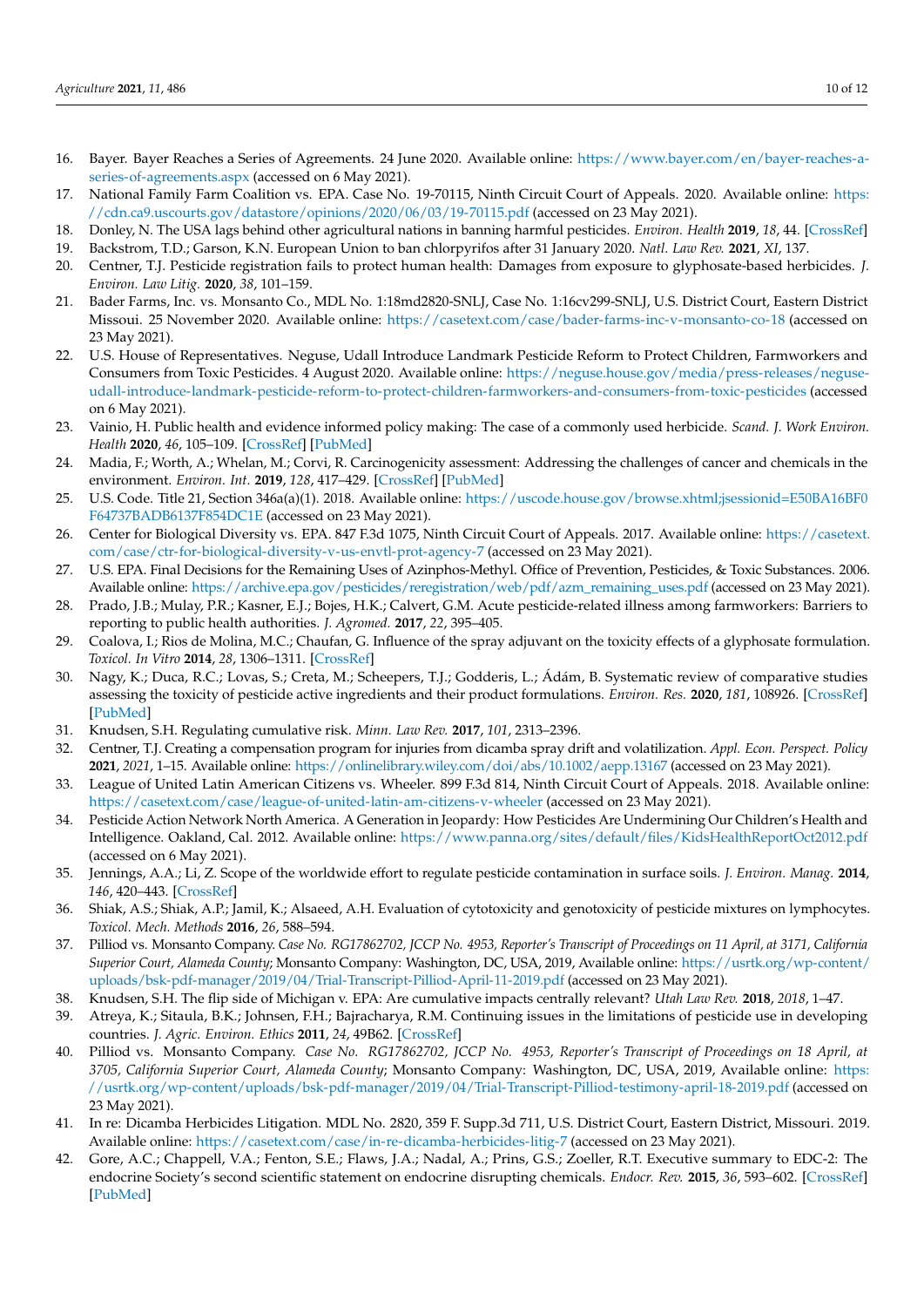- <span id="page-10-0"></span>16. Bayer. Bayer Reaches a Series of Agreements. 24 June 2020. Available online: [https://www.bayer.com/en/bayer-reaches-a](https://www.bayer.com/en/bayer-reaches-a-series-of-agreements.aspx)[series-of-agreements.aspx](https://www.bayer.com/en/bayer-reaches-a-series-of-agreements.aspx) (accessed on 6 May 2021).
- <span id="page-10-1"></span>17. National Family Farm Coalition vs. EPA. Case No. 19-70115, Ninth Circuit Court of Appeals. 2020. Available online: [https:](https://cdn.ca9.uscourts.gov/datastore/opinions/2020/06/03/19-70115.pdf) [//cdn.ca9.uscourts.gov/datastore/opinions/2020/06/03/19-70115.pdf](https://cdn.ca9.uscourts.gov/datastore/opinions/2020/06/03/19-70115.pdf) (accessed on 23 May 2021).
- <span id="page-10-2"></span>18. Donley, N. The USA lags behind other agricultural nations in banning harmful pesticides. *Environ. Health* **2019**, *18*, 44. [\[CrossRef\]](http://doi.org/10.1186/s12940-019-0488-0)
- <span id="page-10-3"></span>19. Backstrom, T.D.; Garson, K.N. European Union to ban chlorpyrifos after 31 January 2020. *Natl. Law Rev.* **2021**, *XI*, 137.
- <span id="page-10-4"></span>20. Centner, T.J. Pesticide registration fails to protect human health: Damages from exposure to glyphosate-based herbicides. *J. Environ. Law Litig.* **2020**, *38*, 101–159.
- <span id="page-10-5"></span>21. Bader Farms, Inc. vs. Monsanto Co., MDL No. 1:18md2820-SNLJ, Case No. 1:16cv299-SNLJ, U.S. District Court, Eastern District Missoui. 25 November 2020. Available online: <https://casetext.com/case/bader-farms-inc-v-monsanto-co-18> (accessed on 23 May 2021).
- <span id="page-10-6"></span>22. U.S. House of Representatives. Neguse, Udall Introduce Landmark Pesticide Reform to Protect Children, Farmworkers and Consumers from Toxic Pesticides. 4 August 2020. Available online: [https://neguse.house.gov/media/press-releases/neguse](https://neguse.house.gov/media/press-releases/neguse-udall-introduce-landmark-pesticide-reform-to-protect-children-farmworkers-and-consumers-from-toxic-pesticides)[udall-introduce-landmark-pesticide-reform-to-protect-children-farmworkers-and-consumers-from-toxic-pesticides](https://neguse.house.gov/media/press-releases/neguse-udall-introduce-landmark-pesticide-reform-to-protect-children-farmworkers-and-consumers-from-toxic-pesticides) (accessed on 6 May 2021).
- <span id="page-10-7"></span>23. Vainio, H. Public health and evidence informed policy making: The case of a commonly used herbicide. *Scand. J. Work Environ. Health* **2020**, *46*, 105–109. [\[CrossRef\]](http://doi.org/10.5271/sjweh.3851) [\[PubMed\]](http://www.ncbi.nlm.nih.gov/pubmed/31486846)
- <span id="page-10-8"></span>24. Madia, F.; Worth, A.; Whelan, M.; Corvi, R. Carcinogenicity assessment: Addressing the challenges of cancer and chemicals in the environment. *Environ. Int.* **2019**, *128*, 417–429. [\[CrossRef\]](http://doi.org/10.1016/j.envint.2019.04.067) [\[PubMed\]](http://www.ncbi.nlm.nih.gov/pubmed/31078876)
- <span id="page-10-9"></span>25. U.S. Code. Title 21, Section 346a(a)(1). 2018. Available online: [https://uscode.house.gov/browse.xhtml;jsessionid=E50BA16BF0](https://uscode.house.gov/browse.xhtml;jsessionid=E50BA16BF0F64737BADB6137F854DC1E) [F64737BADB6137F854DC1E](https://uscode.house.gov/browse.xhtml;jsessionid=E50BA16BF0F64737BADB6137F854DC1E) (accessed on 23 May 2021).
- <span id="page-10-10"></span>26. Center for Biological Diversity vs. EPA. 847 F.3d 1075, Ninth Circuit Court of Appeals. 2017. Available online: [https://casetext.](https://casetext.com/case/ctr-for-biological-diversity-v-us-envtl-prot-agency-7) [com/case/ctr-for-biological-diversity-v-us-envtl-prot-agency-7](https://casetext.com/case/ctr-for-biological-diversity-v-us-envtl-prot-agency-7) (accessed on 23 May 2021).
- <span id="page-10-11"></span>27. U.S. EPA. Final Decisions for the Remaining Uses of Azinphos-Methyl. Office of Prevention, Pesticides, & Toxic Substances. 2006. Available online: [https://archive.epa.gov/pesticides/reregistration/web/pdf/azm\\_remaining\\_uses.pdf](https://archive.epa.gov/pesticides/reregistration/web/pdf/azm_remaining_uses.pdf) (accessed on 23 May 2021).
- <span id="page-10-12"></span>28. Prado, J.B.; Mulay, P.R.; Kasner, E.J.; Bojes, H.K.; Calvert, G.M. Acute pesticide-related illness among farmworkers: Barriers to reporting to public health authorities. *J. Agromed.* **2017**, *22*, 395–405.
- <span id="page-10-13"></span>29. Coalova, I.; Rios de Molina, M.C.; Chaufan, G. Influence of the spray adjuvant on the toxicity effects of a glyphosate formulation. *Toxicol. In Vitro* **2014**, *28*, 1306–1311. [\[CrossRef\]](http://doi.org/10.1016/j.tiv.2014.06.014)
- <span id="page-10-14"></span>30. Nagy, K.; Duca, R.C.; Lovas, S.; Creta, M.; Scheepers, T.J.; Godderis, L.; Ádám, B. Systematic review of comparative studies assessing the toxicity of pesticide active ingredients and their product formulations. *Environ. Res.* **2020**, *181*, 108926. [\[CrossRef\]](http://doi.org/10.1016/j.envres.2019.108926) [\[PubMed\]](http://www.ncbi.nlm.nih.gov/pubmed/31791711)
- <span id="page-10-15"></span>31. Knudsen, S.H. Regulating cumulative risk. *Minn. Law Rev.* **2017**, *101*, 2313–2396.
- <span id="page-10-16"></span>32. Centner, T.J. Creating a compensation program for injuries from dicamba spray drift and volatilization. *Appl. Econ. Perspect. Policy* **2021**, *2021*, 1–15. Available online: <https://onlinelibrary.wiley.com/doi/abs/10.1002/aepp.13167> (accessed on 23 May 2021).
- <span id="page-10-17"></span>33. League of United Latin American Citizens vs. Wheeler. 899 F.3d 814, Ninth Circuit Court of Appeals. 2018. Available online: <https://casetext.com/case/league-of-united-latin-am-citizens-v-wheeler> (accessed on 23 May 2021).
- <span id="page-10-18"></span>34. Pesticide Action Network North America. A Generation in Jeopardy: How Pesticides Are Undermining Our Children's Health and Intelligence. Oakland, Cal. 2012. Available online: <https://www.panna.org/sites/default/files/KidsHealthReportOct2012.pdf> (accessed on 6 May 2021).
- <span id="page-10-19"></span>35. Jennings, A.A.; Li, Z. Scope of the worldwide effort to regulate pesticide contamination in surface soils. *J. Environ. Manag.* **2014**, *146*, 420–443. [\[CrossRef\]](http://doi.org/10.1016/j.jenvman.2014.07.020)
- <span id="page-10-20"></span>36. Shiak, A.S.; Shiak, A.P.; Jamil, K.; Alsaeed, A.H. Evaluation of cytotoxicity and genotoxicity of pesticide mixtures on lymphocytes. *Toxicol. Mech. Methods* **2016**, *26*, 588–594.
- <span id="page-10-21"></span>37. Pilliod vs. Monsanto Company. *Case No. RG17862702, JCCP No. 4953, Reporter's Transcript of Proceedings on 11 April, at 3171, California Superior Court, Alameda County*; Monsanto Company: Washington, DC, USA, 2019, Available online: [https://usrtk.org/wp-content/](https://usrtk.org/wp-content/uploads/bsk-pdf-manager/2019/04/Trial-Transcript-Pilliod-April-11-2019.pdf) [uploads/bsk-pdf-manager/2019/04/Trial-Transcript-Pilliod-April-11-2019.pdf](https://usrtk.org/wp-content/uploads/bsk-pdf-manager/2019/04/Trial-Transcript-Pilliod-April-11-2019.pdf) (accessed on 23 May 2021).
- <span id="page-10-22"></span>38. Knudsen, S.H. The flip side of Michigan v. EPA: Are cumulative impacts centrally relevant? *Utah Law Rev.* **2018**, *2018*, 1–47.
- <span id="page-10-23"></span>39. Atreya, K.; Sitaula, B.K.; Johnsen, F.H.; Bajracharya, R.M. Continuing issues in the limitations of pesticide use in developing countries. *J. Agric. Environ. Ethics* **2011**, *24*, 49B62. [\[CrossRef\]](http://doi.org/10.1007/s10806-010-9243-9)
- <span id="page-10-24"></span>40. Pilliod vs. Monsanto Company. *Case No. RG17862702, JCCP No. 4953, Reporter's Transcript of Proceedings on 18 April, at 3705, California Superior Court, Alameda County*; Monsanto Company: Washington, DC, USA, 2019, Available online: [https:](https://usrtk.org/wp-content/uploads/bsk-pdf-manager/2019/04/Trial-Transcript-Pilliod-testimony-april-18-2019.pdf) [//usrtk.org/wp-content/uploads/bsk-pdf-manager/2019/04/Trial-Transcript-Pilliod-testimony-april-18-2019.pdf](https://usrtk.org/wp-content/uploads/bsk-pdf-manager/2019/04/Trial-Transcript-Pilliod-testimony-april-18-2019.pdf) (accessed on 23 May 2021).
- <span id="page-10-25"></span>41. In re: Dicamba Herbicides Litigation. MDL No. 2820, 359 F. Supp.3d 711, U.S. District Court, Eastern District, Missouri. 2019. Available online: <https://casetext.com/case/in-re-dicamba-herbicides-litig-7> (accessed on 23 May 2021).
- <span id="page-10-26"></span>42. Gore, A.C.; Chappell, V.A.; Fenton, S.E.; Flaws, J.A.; Nadal, A.; Prins, G.S.; Zoeller, R.T. Executive summary to EDC-2: The endocrine Society's second scientific statement on endocrine disrupting chemicals. *Endocr. Rev.* **2015**, *36*, 593–602. [\[CrossRef\]](http://doi.org/10.1210/er.2015-1093) [\[PubMed\]](http://www.ncbi.nlm.nih.gov/pubmed/26414233)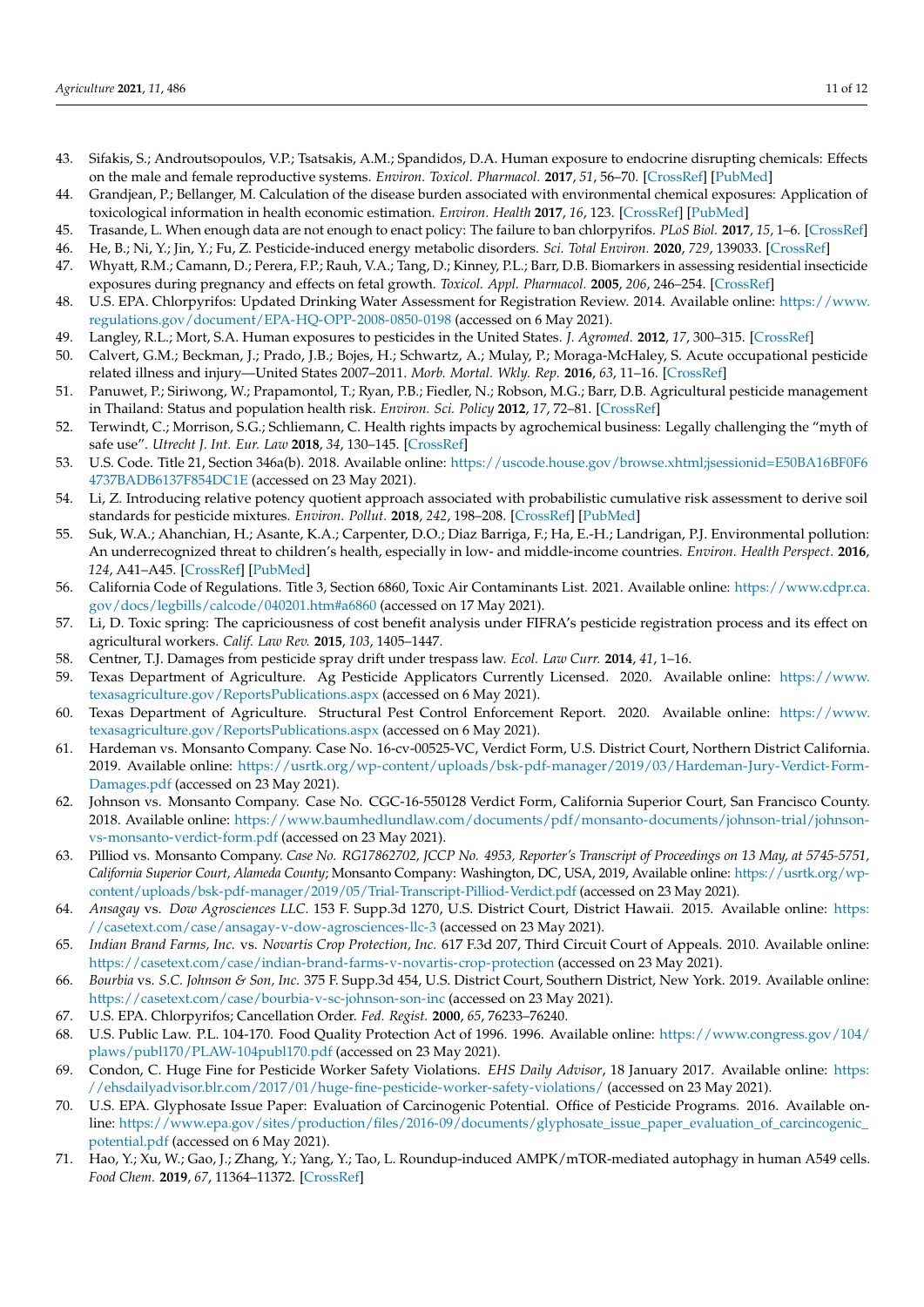- <span id="page-11-0"></span>43. Sifakis, S.; Androutsopoulos, V.P.; Tsatsakis, A.M.; Spandidos, D.A. Human exposure to endocrine disrupting chemicals: Effects on the male and female reproductive systems. *Environ. Toxicol. Pharmacol.* **2017**, *51*, 56–70. [\[CrossRef\]](http://doi.org/10.1016/j.etap.2017.02.024) [\[PubMed\]](http://www.ncbi.nlm.nih.gov/pubmed/28292651)
- <span id="page-11-1"></span>44. Grandjean, P.; Bellanger, M. Calculation of the disease burden associated with environmental chemical exposures: Application of toxicological information in health economic estimation. *Environ. Health* **2017**, *16*, 123. [\[CrossRef\]](http://doi.org/10.1186/s12940-017-0340-3) [\[PubMed\]](http://www.ncbi.nlm.nih.gov/pubmed/29202828)
- <span id="page-11-2"></span>45. Trasande, L. When enough data are not enough to enact policy: The failure to ban chlorpyrifos. *PLoS Biol.* **2017**, *15*, 1–6. [\[CrossRef\]](http://doi.org/10.1371/journal.pbio.2003671)
- <span id="page-11-4"></span><span id="page-11-3"></span>46. He, B.; Ni, Y.; Jin, Y.; Fu, Z. Pesticide-induced energy metabolic disorders. *Sci. Total Environ.* **2020**, *729*, 139033. [\[CrossRef\]](http://doi.org/10.1016/j.scitotenv.2020.139033) 47. Whyatt, R.M.; Camann, D.; Perera, F.P.; Rauh, V.A.; Tang, D.; Kinney, P.L.; Barr, D.B. Biomarkers in assessing residential insecticide
- exposures during pregnancy and effects on fetal growth. *Toxicol. Appl. Pharmacol.* **2005**, *206*, 246–254. [\[CrossRef\]](http://doi.org/10.1016/j.taap.2004.11.027)
- <span id="page-11-5"></span>48. U.S. EPA. Chlorpyrifos: Updated Drinking Water Assessment for Registration Review. 2014. Available online: [https://www.](https://www.regulations.gov/document/EPA-HQ-OPP-2008-0850-0198) [regulations.gov/document/EPA-HQ-OPP-2008-0850-0198](https://www.regulations.gov/document/EPA-HQ-OPP-2008-0850-0198) (accessed on 6 May 2021).
- <span id="page-11-6"></span>49. Langley, R.L.; Mort, S.A. Human exposures to pesticides in the United States. *J. Agromed.* **2012**, *17*, 300–315. [\[CrossRef\]](http://doi.org/10.1080/1059924X.2012.688467)
- <span id="page-11-7"></span>50. Calvert, G.M.; Beckman, J.; Prado, J.B.; Bojes, H.; Schwartz, A.; Mulay, P.; Moraga-McHaley, S. Acute occupational pesticide related illness and injury—United States 2007–2011. *Morb. Mortal. Wkly. Rep.* **2016**, *63*, 11–16. [\[CrossRef\]](http://doi.org/10.15585/mmwr.mm6355a3)
- <span id="page-11-8"></span>51. Panuwet, P.; Siriwong, W.; Prapamontol, T.; Ryan, P.B.; Fiedler, N.; Robson, M.G.; Barr, D.B. Agricultural pesticide management in Thailand: Status and population health risk. *Environ. Sci. Policy* **2012**, *17*, 72–81. [\[CrossRef\]](http://doi.org/10.1016/j.envsci.2011.12.005)
- <span id="page-11-9"></span>52. Terwindt, C.; Morrison, S.G.; Schliemann, C. Health rights impacts by agrochemical business: Legally challenging the "myth of safe use". *Utrecht J. Int. Eur. Law* **2018**, *34*, 130–145. [\[CrossRef\]](http://doi.org/10.5334/ujiel.460)
- <span id="page-11-10"></span>53. U.S. Code. Title 21, Section 346a(b). 2018. Available online: [https://uscode.house.gov/browse.xhtml;jsessionid=E50BA16BF0F6](https://uscode.house.gov/browse.xhtml;jsessionid=E50BA16BF0F64737BADB6137F854DC1E) [4737BADB6137F854DC1E](https://uscode.house.gov/browse.xhtml;jsessionid=E50BA16BF0F64737BADB6137F854DC1E) (accessed on 23 May 2021).
- <span id="page-11-11"></span>54. Li, Z. Introducing relative potency quotient approach associated with probabilistic cumulative risk assessment to derive soil standards for pesticide mixtures. *Environ. Pollut.* **2018**, *242*, 198–208. [\[CrossRef\]](http://doi.org/10.1016/j.envpol.2018.06.076) [\[PubMed\]](http://www.ncbi.nlm.nih.gov/pubmed/29980038)
- <span id="page-11-12"></span>55. Suk, W.A.; Ahanchian, H.; Asante, K.A.; Carpenter, D.O.; Diaz Barriga, F.; Ha, E.-H.; Landrigan, P.J. Environmental pollution: An underrecognized threat to children's health, especially in low- and middle-income countries. *Environ. Health Perspect.* **2016**, *124*, A41–A45. [\[CrossRef\]](http://doi.org/10.1289/ehp.1510517) [\[PubMed\]](http://www.ncbi.nlm.nih.gov/pubmed/26930243)
- <span id="page-11-13"></span>56. California Code of Regulations. Title 3, Section 6860, Toxic Air Contaminants List. 2021. Available online: [https://www.cdpr.ca.](https://www.cdpr.ca.gov/docs/legbills/calcode/040201.htm#a6860) [gov/docs/legbills/calcode/040201.htm#a6860](https://www.cdpr.ca.gov/docs/legbills/calcode/040201.htm#a6860) (accessed on 17 May 2021).
- <span id="page-11-14"></span>57. Li, D. Toxic spring: The capriciousness of cost benefit analysis under FIFRA's pesticide registration process and its effect on agricultural workers. *Calif. Law Rev.* **2015**, *103*, 1405–1447.
- <span id="page-11-15"></span>58. Centner, T.J. Damages from pesticide spray drift under trespass law. *Ecol. Law Curr.* **2014**, *41*, 1–16.
- <span id="page-11-16"></span>59. Texas Department of Agriculture. Ag Pesticide Applicators Currently Licensed. 2020. Available online: [https://www.](https://www.texasagriculture.gov/ReportsPublications.aspx) [texasagriculture.gov/ReportsPublications.aspx](https://www.texasagriculture.gov/ReportsPublications.aspx) (accessed on 6 May 2021).
- <span id="page-11-17"></span>60. Texas Department of Agriculture. Structural Pest Control Enforcement Report. 2020. Available online: [https://www.](https://www.texasagriculture.gov/ReportsPublications.aspx) [texasagriculture.gov/ReportsPublications.aspx](https://www.texasagriculture.gov/ReportsPublications.aspx) (accessed on 6 May 2021).
- <span id="page-11-18"></span>61. Hardeman vs. Monsanto Company. Case No. 16-cv-00525-VC, Verdict Form, U.S. District Court, Northern District California. 2019. Available online: [https://usrtk.org/wp-content/uploads/bsk-pdf-manager/2019/03/Hardeman-Jury-Verdict-Form-](https://usrtk.org/wp-content/uploads/bsk-pdf-manager/2019/03/Hardeman-Jury-Verdict-Form-Damages.pdf)[Damages.pdf](https://usrtk.org/wp-content/uploads/bsk-pdf-manager/2019/03/Hardeman-Jury-Verdict-Form-Damages.pdf) (accessed on 23 May 2021).
- 62. Johnson vs. Monsanto Company. Case No. CGC-16-550128 Verdict Form, California Superior Court, San Francisco County. 2018. Available online: [https://www.baumhedlundlaw.com/documents/pdf/monsanto-documents/johnson-trial/johnson](https://www.baumhedlundlaw.com/documents/pdf/monsanto-documents/johnson-trial/johnson-vs-monsanto-verdict-form.pdf)[vs-monsanto-verdict-form.pdf](https://www.baumhedlundlaw.com/documents/pdf/monsanto-documents/johnson-trial/johnson-vs-monsanto-verdict-form.pdf) (accessed on 23 May 2021).
- <span id="page-11-19"></span>63. Pilliod vs. Monsanto Company. *Case No. RG17862702, JCCP No. 4953, Reporter's Transcript of Proceedings on 13 May, at 5745-5751, California Superior Court, Alameda County*; Monsanto Company: Washington, DC, USA, 2019, Available online: [https://usrtk.org/wp](https://usrtk.org/wp-content/uploads/bsk-pdf-manager/2019/05/Trial-Transcript-Pilliod-Verdict.pdf)[content/uploads/bsk-pdf-manager/2019/05/Trial-Transcript-Pilliod-Verdict.pdf](https://usrtk.org/wp-content/uploads/bsk-pdf-manager/2019/05/Trial-Transcript-Pilliod-Verdict.pdf) (accessed on 23 May 2021).
- <span id="page-11-20"></span>64. *Ansagay* vs. *Dow Agrosciences LLC.* 153 F. Supp.3d 1270, U.S. District Court, District Hawaii. 2015. Available online: [https:](https://casetext.com/case/ansagay-v-dow-agrosciences-llc-3) [//casetext.com/case/ansagay-v-dow-agrosciences-llc-3](https://casetext.com/case/ansagay-v-dow-agrosciences-llc-3) (accessed on 23 May 2021).
- <span id="page-11-21"></span>65. *Indian Brand Farms, Inc.* vs. *Novartis Crop Protection, Inc.* 617 F.3d 207, Third Circuit Court of Appeals. 2010. Available online: <https://casetext.com/case/indian-brand-farms-v-novartis-crop-protection> (accessed on 23 May 2021).
- <span id="page-11-22"></span>66. *Bourbia* vs. *S.C. Johnson & Son, Inc.* 375 F. Supp.3d 454, U.S. District Court, Southern District, New York. 2019. Available online: <https://casetext.com/case/bourbia-v-sc-johnson-son-inc> (accessed on 23 May 2021).
- <span id="page-11-23"></span>67. U.S. EPA. Chlorpyrifos; Cancellation Order. *Fed. Regist.* **2000**, *65*, 76233–76240.
- <span id="page-11-24"></span>68. U.S. Public Law. P.L. 104-170. Food Quality Protection Act of 1996. 1996. Available online: [https://www.congress.gov/104/](https://www.congress.gov/104/plaws/publ170/PLAW-104publ170.pdf) [plaws/publ170/PLAW-104publ170.pdf](https://www.congress.gov/104/plaws/publ170/PLAW-104publ170.pdf) (accessed on 23 May 2021).
- <span id="page-11-25"></span>69. Condon, C. Huge Fine for Pesticide Worker Safety Violations. *EHS Daily Advisor*, 18 January 2017. Available online: [https:](https://ehsdailyadvisor.blr.com/2017/01/huge-fine-pesticide-worker-safety-violations/) [//ehsdailyadvisor.blr.com/2017/01/huge-fine-pesticide-worker-safety-violations/](https://ehsdailyadvisor.blr.com/2017/01/huge-fine-pesticide-worker-safety-violations/) (accessed on 23 May 2021).
- <span id="page-11-26"></span>70. U.S. EPA. Glyphosate Issue Paper: Evaluation of Carcinogenic Potential. Office of Pesticide Programs. 2016. Available online: [https://www.epa.gov/sites/production/files/2016-09/documents/glyphosate\\_issue\\_paper\\_evaluation\\_of\\_carcincogenic\\_](https://www.epa.gov/sites/production/files/2016-09/documents/glyphosate_issue_paper_evaluation_of_carcincogenic_potential.pdf) [potential.pdf](https://www.epa.gov/sites/production/files/2016-09/documents/glyphosate_issue_paper_evaluation_of_carcincogenic_potential.pdf) (accessed on 6 May 2021).
- <span id="page-11-27"></span>71. Hao, Y.; Xu, W.; Gao, J.; Zhang, Y.; Yang, Y.; Tao, L. Roundup-induced AMPK/mTOR-mediated autophagy in human A549 cells. *Food Chem.* **2019**, *67*, 11364–11372. [\[CrossRef\]](http://doi.org/10.1021/acs.jafc.9b04679)